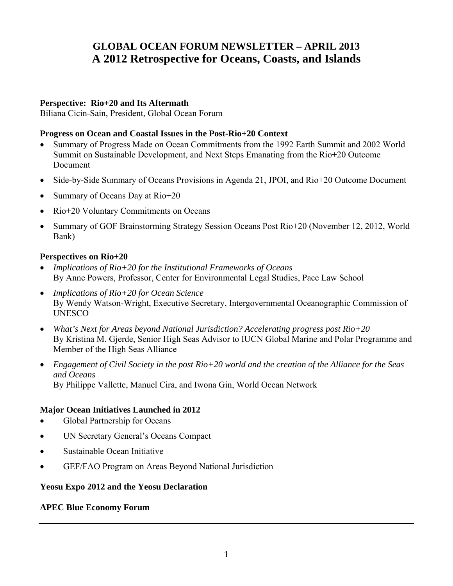# **GLOBAL OCEAN FORUM NEWSLETTER – APRIL 2013 A 2012 Retrospective for Oceans, Coasts, and Islands**

#### **Perspective: Rio+20 and Its Aftermath**

Biliana Cicin-Sain, President, Global Ocean Forum

#### **Progress on Ocean and Coastal Issues in the Post-Rio+20 Context**

- Summary of Progress Made on Ocean Commitments from the 1992 Earth Summit and 2002 World Summit on Sustainable Development, and Next Steps Emanating from the Rio+20 Outcome Document
- Side-by-Side Summary of Oceans Provisions in Agenda 21, JPOI, and Rio+20 Outcome Document
- Summary of Oceans Day at  $\text{Rio+20}$
- Rio+20 Voluntary Commitments on Oceans
- Summary of GOF Brainstorming Strategy Session Oceans Post Rio+20 (November 12, 2012, World Bank)

#### **Perspectives on Rio+20**

- *Implications of Rio+20 for the Institutional Frameworks of Oceans* By Anne Powers, Professor, Center for Environmental Legal Studies, Pace Law School
- *Implications of Rio+20 for Ocean Science* By Wendy Watson-Wright, Executive Secretary, Intergovernmental Oceanographic Commission of **UNESCO**
- *What's Next for Areas beyond National Jurisdiction? Accelerating progress post Rio+20* By Kristina M. Gjerde, Senior High Seas Advisor to IUCN Global Marine and Polar Programme and Member of the High Seas Alliance
- *Engagement of Civil Society in the post Rio+20 world and the creation of the Alliance for the Seas and Oceans* By Philippe Vallette, Manuel Cira, and Iwona Gin, World Ocean Network

#### **Major Ocean Initiatives Launched in 2012**

- Global Partnership for Oceans
- UN Secretary General's Oceans Compact
- Sustainable Ocean Initiative
- GEF/FAO Program on Areas Beyond National Jurisdiction

#### **Yeosu Expo 2012 and the Yeosu Declaration**

#### **APEC Blue Economy Forum**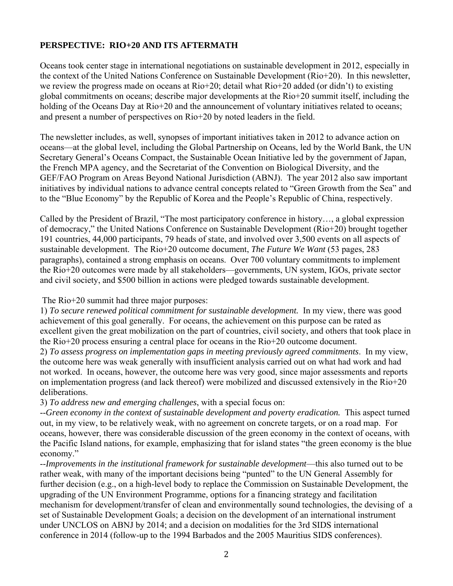## **PERSPECTIVE: RIO+20 AND ITS AFTERMATH**

Oceans took center stage in international negotiations on sustainable development in 2012, especially in the context of the United Nations Conference on Sustainable Development (Rio+20). In this newsletter, we review the progress made on oceans at Rio+20; detail what Rio+20 added (or didn't) to existing global commitments on oceans; describe major developments at the Rio+20 summit itself, including the holding of the Oceans Day at Rio+20 and the announcement of voluntary initiatives related to oceans; and present a number of perspectives on Rio+20 by noted leaders in the field.

The newsletter includes, as well, synopses of important initiatives taken in 2012 to advance action on oceans—at the global level, including the Global Partnership on Oceans, led by the World Bank, the UN Secretary General's Oceans Compact, the Sustainable Ocean Initiative led by the government of Japan, the French MPA agency, and the Secretariat of the Convention on Biological Diversity, and the GEF/FAO Program on Areas Beyond National Jurisdiction (ABNJ). The year 2012 also saw important initiatives by individual nations to advance central concepts related to "Green Growth from the Sea" and to the "Blue Economy" by the Republic of Korea and the People's Republic of China, respectively.

Called by the President of Brazil, "The most participatory conference in history…, a global expression of democracy," the United Nations Conference on Sustainable Development (Rio+20) brought together 191 countries, 44,000 participants, 79 heads of state, and involved over 3,500 events on all aspects of sustainable development. The Rio+20 outcome document, *The Future We Want* (53 pages, 283 paragraphs), contained a strong emphasis on oceans. Over 700 voluntary commitments to implement the Rio+20 outcomes were made by all stakeholders—governments, UN system, IGOs, private sector and civil society, and \$500 billion in actions were pledged towards sustainable development.

The Rio+20 summit had three major purposes:

1) *To secure renewed political commitment for sustainable development.* In my view, there was good achievement of this goal generally. For oceans, the achievement on this purpose can be rated as excellent given the great mobilization on the part of countries, civil society, and others that took place in the Rio+20 process ensuring a central place for oceans in the Rio+20 outcome document.

2) *To assess progress on implementation gaps in meeting previously agreed commitments*. In my view, the outcome here was weak generally with insufficient analysis carried out on what had work and had not worked. In oceans, however, the outcome here was very good, since major assessments and reports on implementation progress (and lack thereof) were mobilized and discussed extensively in the Rio+20 deliberations.

3) *To address new and emerging challenges*, with a special focus on:

--*Green economy in the context of sustainable development and poverty eradication.* This aspect turned out, in my view, to be relatively weak, with no agreement on concrete targets, or on a road map. For oceans, however, there was considerable discussion of the green economy in the context of oceans, with the Pacific Island nations, for example, emphasizing that for island states "the green economy is the blue economy."

--*Improvements in the institutional framework for sustainable development*—this also turned out to be rather weak, with many of the important decisions being "punted" to the UN General Assembly for further decision (e.g., on a high-level body to replace the Commission on Sustainable Development, the upgrading of the UN Environment Programme, options for a financing strategy and facilitation mechanism for development/transfer of clean and environmentally sound technologies, the devising of a set of Sustainable Development Goals; a decision on the development of an international instrument under UNCLOS on ABNJ by 2014; and a decision on modalities for the 3rd SIDS international conference in 2014 (follow-up to the 1994 Barbados and the 2005 Mauritius SIDS conferences).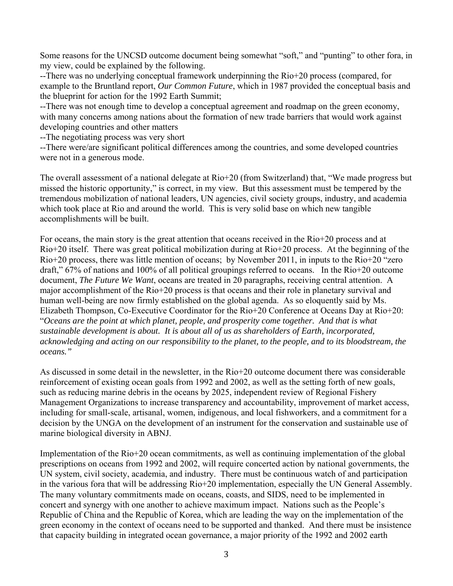Some reasons for the UNCSD outcome document being somewhat "soft," and "punting" to other fora, in my view, could be explained by the following.

--There was no underlying conceptual framework underpinning the Rio+20 process (compared, for example to the Bruntland report, *Our Common Future*, which in 1987 provided the conceptual basis and the blueprint for action for the 1992 Earth Summit;

--There was not enough time to develop a conceptual agreement and roadmap on the green economy, with many concerns among nations about the formation of new trade barriers that would work against developing countries and other matters

--The negotiating process was very short

--There were/are significant political differences among the countries, and some developed countries were not in a generous mode.

The overall assessment of a national delegate at Rio+20 (from Switzerland) that, "We made progress but missed the historic opportunity," is correct, in my view. But this assessment must be tempered by the tremendous mobilization of national leaders, UN agencies, civil society groups, industry, and academia which took place at Rio and around the world. This is very solid base on which new tangible accomplishments will be built.

For oceans, the main story is the great attention that oceans received in the Rio+20 process and at Rio+20 itself. There was great political mobilization during at Rio+20 process. At the beginning of the Rio+20 process, there was little mention of oceans; by November 2011, in inputs to the Rio+20 "zero draft," 67% of nations and 100% of all political groupings referred to oceans. In the Rio+20 outcome document, *The Future We Want*, oceans are treated in 20 paragraphs, receiving central attention. A major accomplishment of the Rio+20 process is that oceans and their role in planetary survival and human well-being are now firmly established on the global agenda. As so eloquently said by Ms. Elizabeth Thompson, Co-Executive Coordinator for the Rio+20 Conference at Oceans Day at Rio+20: "*Oceans are the point at which planet, people, and prosperity come together. And that is what sustainable development is about. It is about all of us as shareholders of Earth, incorporated, acknowledging and acting on our responsibility to the planet, to the people, and to its bloodstream, the oceans."*

As discussed in some detail in the newsletter, in the Rio+20 outcome document there was considerable reinforcement of existing ocean goals from 1992 and 2002, as well as the setting forth of new goals, such as reducing marine debris in the oceans by 2025, independent review of Regional Fishery Management Organizations to increase transparency and accountability, improvement of market access, including for small-scale, artisanal, women, indigenous, and local fishworkers, and a commitment for a decision by the UNGA on the development of an instrument for the conservation and sustainable use of marine biological diversity in ABNJ.

Implementation of the Rio+20 ocean commitments, as well as continuing implementation of the global prescriptions on oceans from 1992 and 2002, will require concerted action by national governments, the UN system, civil society, academia, and industry. There must be continuous watch of and participation in the various fora that will be addressing Rio+20 implementation, especially the UN General Assembly. The many voluntary commitments made on oceans, coasts, and SIDS, need to be implemented in concert and synergy with one another to achieve maximum impact. Nations such as the People's Republic of China and the Republic of Korea, which are leading the way on the implementation of the green economy in the context of oceans need to be supported and thanked. And there must be insistence that capacity building in integrated ocean governance, a major priority of the 1992 and 2002 earth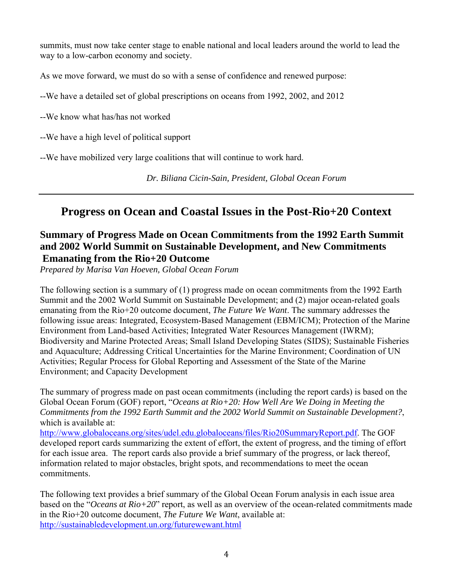summits, must now take center stage to enable national and local leaders around the world to lead the way to a low-carbon economy and society.

As we move forward, we must do so with a sense of confidence and renewed purpose:

--We have a detailed set of global prescriptions on oceans from 1992, 2002, and 2012

--We know what has/has not worked

--We have a high level of political support

--We have mobilized very large coalitions that will continue to work hard.

*Dr. Biliana Cicin-Sain, President, Global Ocean Forum* 

## **Progress on Ocean and Coastal Issues in the Post-Rio+20 Context**

## **Summary of Progress Made on Ocean Commitments from the 1992 Earth Summit and 2002 World Summit on Sustainable Development, and New Commitments Emanating from the Rio+20 Outcome**

*Prepared by Marisa Van Hoeven, Global Ocean Forum* 

The following section is a summary of (1) progress made on ocean commitments from the 1992 Earth Summit and the 2002 World Summit on Sustainable Development; and (2) major ocean-related goals emanating from the Rio+20 outcome document, *The Future We Want*. The summary addresses the following issue areas: Integrated, Ecosystem-Based Management (EBM/ICM); Protection of the Marine Environment from Land-based Activities; Integrated Water Resources Management (IWRM); Biodiversity and Marine Protected Areas; Small Island Developing States (SIDS); Sustainable Fisheries and Aquaculture; Addressing Critical Uncertainties for the Marine Environment; Coordination of UN Activities; Regular Process for Global Reporting and Assessment of the State of the Marine Environment; and Capacity Development

The summary of progress made on past ocean commitments (including the report cards) is based on the Global Ocean Forum (GOF) report, "*Oceans at Rio+20: How Well Are We Doing in Meeting the Commitments from the 1992 Earth Summit and the 2002 World Summit on Sustainable Development?*, which is available at:

http://www.globaloceans.org/sites/udel.edu.globaloceans/files/Rio20SummaryReport.pdf. The GOF developed report cards summarizing the extent of effort, the extent of progress, and the timing of effort for each issue area. The report cards also provide a brief summary of the progress, or lack thereof, information related to major obstacles, bright spots, and recommendations to meet the ocean commitments.

The following text provides a brief summary of the Global Ocean Forum analysis in each issue area based on the "*Oceans at Rio+20*" report, as well as an overview of the ocean-related commitments made in the Rio+20 outcome document, *The Future We Want*, available at: http://sustainabledevelopment.un.org/futurewewant.html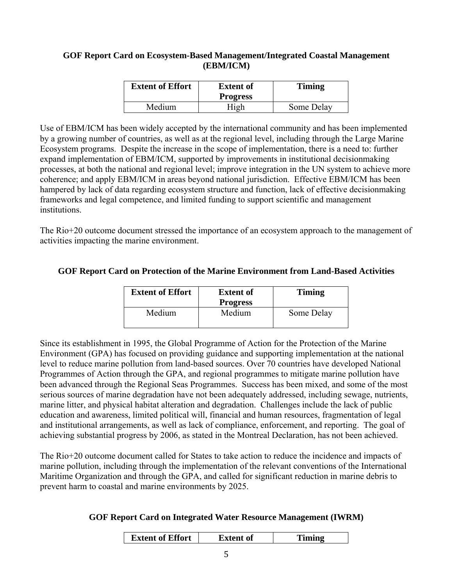#### **GOF Report Card on Ecosystem-Based Management/Integrated Coastal Management (EBM/ICM)**

| <b>Extent of Effort</b> | <b>Extent of</b><br><b>Progress</b> | <b>Timing</b> |
|-------------------------|-------------------------------------|---------------|
| Medium                  | High                                | Some Delay    |

Use of EBM/ICM has been widely accepted by the international community and has been implemented by a growing number of countries, as well as at the regional level, including through the Large Marine Ecosystem programs. Despite the increase in the scope of implementation, there is a need to: further expand implementation of EBM/ICM, supported by improvements in institutional decisionmaking processes, at both the national and regional level; improve integration in the UN system to achieve more coherence; and apply EBM/ICM in areas beyond national jurisdiction. Effective EBM/ICM has been hampered by lack of data regarding ecosystem structure and function, lack of effective decisionmaking frameworks and legal competence, and limited funding to support scientific and management institutions.

The Rio+20 outcome document stressed the importance of an ecosystem approach to the management of activities impacting the marine environment.

#### **GOF Report Card on Protection of the Marine Environment from Land-Based Activities**

| <b>Extent of Effort</b> | <b>Extent of</b><br><b>Progress</b> | <b>Timing</b> |
|-------------------------|-------------------------------------|---------------|
| Medium                  | Medium                              | Some Delay    |

Since its establishment in 1995, the Global Programme of Action for the Protection of the Marine Environment (GPA) has focused on providing guidance and supporting implementation at the national level to reduce marine pollution from land-based sources. Over 70 countries have developed National Programmes of Action through the GPA, and regional programmes to mitigate marine pollution have been advanced through the Regional Seas Programmes. Success has been mixed, and some of the most serious sources of marine degradation have not been adequately addressed, including sewage, nutrients, marine litter, and physical habitat alteration and degradation. Challenges include the lack of public education and awareness, limited political will, financial and human resources, fragmentation of legal and institutional arrangements, as well as lack of compliance, enforcement, and reporting. The goal of achieving substantial progress by 2006, as stated in the Montreal Declaration, has not been achieved.

The Rio+20 outcome document called for States to take action to reduce the incidence and impacts of marine pollution, including through the implementation of the relevant conventions of the International Maritime Organization and through the GPA, and called for significant reduction in marine debris to prevent harm to coastal and marine environments by 2025.

#### **GOF Report Card on Integrated Water Resource Management (IWRM)**

| <b>Extent of Effort</b> | <b>Extent of</b> | Timing |
|-------------------------|------------------|--------|
|                         |                  |        |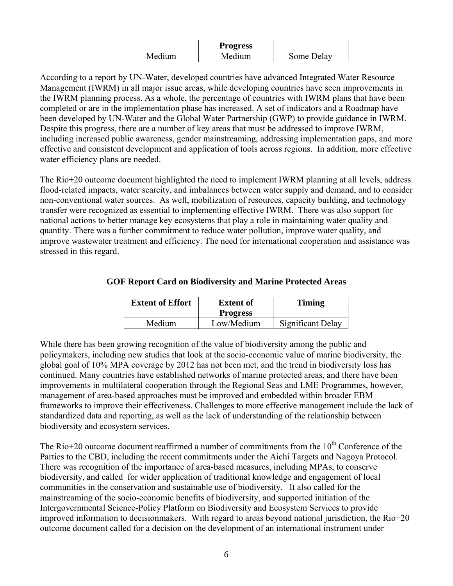|        | <b>Progress</b> |            |
|--------|-----------------|------------|
| Medium | Medium          | Some Delay |

According to a report by UN-Water, developed countries have advanced Integrated Water Resource Management (IWRM) in all major issue areas, while developing countries have seen improvements in the IWRM planning process. As a whole, the percentage of countries with IWRM plans that have been completed or are in the implementation phase has increased. A set of indicators and a Roadmap have been developed by UN-Water and the Global Water Partnership (GWP) to provide guidance in IWRM. Despite this progress, there are a number of key areas that must be addressed to improve IWRM, including increased public awareness, gender mainstreaming, addressing implementation gaps, and more effective and consistent development and application of tools across regions. In addition, more effective water efficiency plans are needed.

The Rio+20 outcome document highlighted the need to implement IWRM planning at all levels, address flood-related impacts, water scarcity, and imbalances between water supply and demand, and to consider non-conventional water sources. As well, mobilization of resources, capacity building, and technology transfer were recognized as essential to implementing effective IWRM. There was also support for national actions to better manage key ecosystems that play a role in maintaining water quality and quantity. There was a further commitment to reduce water pollution, improve water quality, and improve wastewater treatment and efficiency. The need for international cooperation and assistance was stressed in this regard.

| <b>Extent of Effort</b> | <b>Extent of</b> | <b>Timing</b>     |
|-------------------------|------------------|-------------------|
|                         | <b>Progress</b>  |                   |
| Medium                  | Low/Medium       | Significant Delay |

#### **GOF Report Card on Biodiversity and Marine Protected Areas**

While there has been growing recognition of the value of biodiversity among the public and policymakers, including new studies that look at the socio-economic value of marine biodiversity, the global goal of 10% MPA coverage by 2012 has not been met, and the trend in biodiversity loss has continued. Many countries have established networks of marine protected areas, and there have been improvements in multilateral cooperation through the Regional Seas and LME Programmes, however, management of area-based approaches must be improved and embedded within broader EBM frameworks to improve their effectiveness. Challenges to more effective management include the lack of standardized data and reporting, as well as the lack of understanding of the relationship between biodiversity and ecosystem services.

The Rio+20 outcome document reaffirmed a number of commitments from the  $10<sup>th</sup>$  Conference of the Parties to the CBD, including the recent commitments under the Aichi Targets and Nagoya Protocol. There was recognition of the importance of area-based measures, including MPAs, to conserve biodiversity, and called for wider application of traditional knowledge and engagement of local communities in the conservation and sustainable use of biodiversity. It also called for the mainstreaming of the socio-economic benefits of biodiversity, and supported initiation of the Intergovernmental Science-Policy Platform on Biodiversity and Ecosystem Services to provide improved information to decisionmakers. With regard to areas beyond national jurisdiction, the Rio+20 outcome document called for a decision on the development of an international instrument under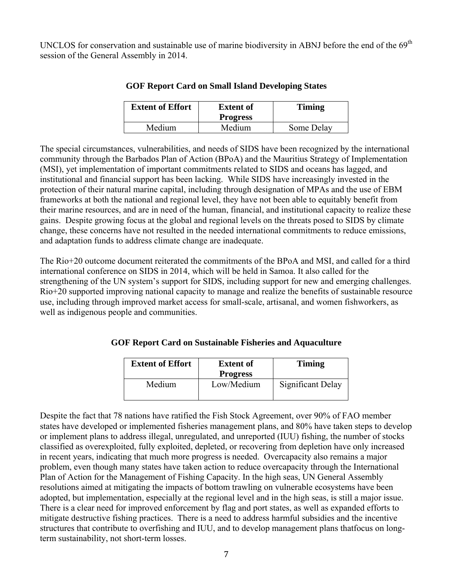UNCLOS for conservation and sustainable use of marine biodiversity in ABNJ before the end of the 69<sup>th</sup> session of the General Assembly in 2014.

| <b>Extent of Effort</b> | <b>Extent of</b><br><b>Progress</b> | <b>Timing</b> |
|-------------------------|-------------------------------------|---------------|
| Medium                  | Medium                              | Some Delay    |

#### **GOF Report Card on Small Island Developing States**

The special circumstances, vulnerabilities, and needs of SIDS have been recognized by the international community through the Barbados Plan of Action (BPoA) and the Mauritius Strategy of Implementation (MSI), yet implementation of important commitments related to SIDS and oceans has lagged, and institutional and financial support has been lacking. While SIDS have increasingly invested in the protection of their natural marine capital, including through designation of MPAs and the use of EBM frameworks at both the national and regional level, they have not been able to equitably benefit from their marine resources, and are in need of the human, financial, and institutional capacity to realize these gains. Despite growing focus at the global and regional levels on the threats posed to SIDS by climate change, these concerns have not resulted in the needed international commitments to reduce emissions, and adaptation funds to address climate change are inadequate.

The Rio+20 outcome document reiterated the commitments of the BPoA and MSI, and called for a third international conference on SIDS in 2014, which will be held in Samoa. It also called for the strengthening of the UN system's support for SIDS, including support for new and emerging challenges. Rio+20 supported improving national capacity to manage and realize the benefits of sustainable resource use, including through improved market access for small-scale, artisanal, and women fishworkers, as well as indigenous people and communities.

#### **GOF Report Card on Sustainable Fisheries and Aquaculture**

| <b>Extent of Effort</b> | <b>Extent of</b><br><b>Progress</b> | <b>Timing</b>     |
|-------------------------|-------------------------------------|-------------------|
| Medium                  | Low/Medium                          | Significant Delay |

Despite the fact that 78 nations have ratified the Fish Stock Agreement, over 90% of FAO member states have developed or implemented fisheries management plans, and 80% have taken steps to develop or implement plans to address illegal, unregulated, and unreported (IUU) fishing, the number of stocks classified as overexploited, fully exploited, depleted, or recovering from depletion have only increased in recent years, indicating that much more progress is needed. Overcapacity also remains a major problem, even though many states have taken action to reduce overcapacity through the International Plan of Action for the Management of Fishing Capacity. In the high seas, UN General Assembly resolutions aimed at mitigating the impacts of bottom trawling on vulnerable ecosystems have been adopted, but implementation, especially at the regional level and in the high seas, is still a major issue. There is a clear need for improved enforcement by flag and port states, as well as expanded efforts to mitigate destructive fishing practices. There is a need to address harmful subsidies and the incentive structures that contribute to overfishing and IUU, and to develop management plans thatfocus on longterm sustainability, not short-term losses.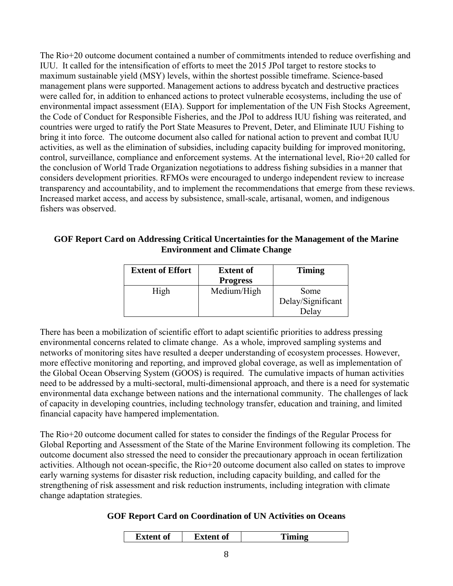The Rio+20 outcome document contained a number of commitments intended to reduce overfishing and IUU. It called for the intensification of efforts to meet the 2015 JPoI target to restore stocks to maximum sustainable yield (MSY) levels, within the shortest possible timeframe. Science-based management plans were supported. Management actions to address bycatch and destructive practices were called for, in addition to enhanced actions to protect vulnerable ecosystems, including the use of environmental impact assessment (EIA). Support for implementation of the UN Fish Stocks Agreement, the Code of Conduct for Responsible Fisheries, and the JPoI to address IUU fishing was reiterated, and countries were urged to ratify the Port State Measures to Prevent, Deter, and Eliminate IUU Fishing to bring it into force. The outcome document also called for national action to prevent and combat IUU activities, as well as the elimination of subsidies, including capacity building for improved monitoring, control, surveillance, compliance and enforcement systems. At the international level, Rio+20 called for the conclusion of World Trade Organization negotiations to address fishing subsidies in a manner that considers development priorities. RFMOs were encouraged to undergo independent review to increase transparency and accountability, and to implement the recommendations that emerge from these reviews. Increased market access, and access by subsistence, small-scale, artisanal, women, and indigenous fishers was observed.

#### **GOF Report Card on Addressing Critical Uncertainties for the Management of the Marine Environment and Climate Change**

| <b>Extent of Effort</b> | <b>Extent of</b><br><b>Progress</b> | <b>Timing</b>                      |
|-------------------------|-------------------------------------|------------------------------------|
| High                    | Medium/High                         | Some<br>Delay/Significant<br>Delav |

There has been a mobilization of scientific effort to adapt scientific priorities to address pressing environmental concerns related to climate change. As a whole, improved sampling systems and networks of monitoring sites have resulted a deeper understanding of ecosystem processes. However, more effective monitoring and reporting, and improved global coverage, as well as implementation of the Global Ocean Observing System (GOOS) is required. The cumulative impacts of human activities need to be addressed by a multi-sectoral, multi-dimensional approach, and there is a need for systematic environmental data exchange between nations and the international community. The challenges of lack of capacity in developing countries, including technology transfer, education and training, and limited financial capacity have hampered implementation.

The Rio+20 outcome document called for states to consider the findings of the Regular Process for Global Reporting and Assessment of the State of the Marine Environment following its completion. The outcome document also stressed the need to consider the precautionary approach in ocean fertilization activities. Although not ocean-specific, the Rio+20 outcome document also called on states to improve early warning systems for disaster risk reduction, including capacity building, and called for the strengthening of risk assessment and risk reduction instruments, including integration with climate change adaptation strategies.

#### **GOF Report Card on Coordination of UN Activities on Oceans**

|  | Extent of | 'xtent of<br>ג י | ™ino |
|--|-----------|------------------|------|
|--|-----------|------------------|------|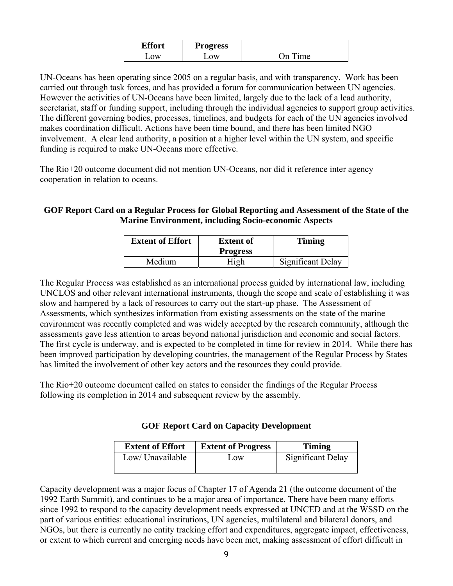| Пœ.<br>nr! | <b>Progress</b> |               |
|------------|-----------------|---------------|
| ΩW         | $\mathcal{N}$   | )n<br>$m\rho$ |

UN-Oceans has been operating since 2005 on a regular basis, and with transparency. Work has been carried out through task forces, and has provided a forum for communication between UN agencies. However the activities of UN-Oceans have been limited, largely due to the lack of a lead authority, secretariat, staff or funding support, including through the individual agencies to support group activities. The different governing bodies, processes, timelines, and budgets for each of the UN agencies involved makes coordination difficult. Actions have been time bound, and there has been limited NGO involvement. A clear lead authority, a position at a higher level within the UN system, and specific funding is required to make UN-Oceans more effective.

The Rio+20 outcome document did not mention UN-Oceans, nor did it reference inter agency cooperation in relation to oceans.

#### **GOF Report Card on a Regular Process for Global Reporting and Assessment of the State of the Marine Environment, including Socio-economic Aspects**

| <b>Extent of Effort</b> | <b>Extent of</b><br><b>Progress</b> | <b>Timing</b>            |
|-------------------------|-------------------------------------|--------------------------|
| Medium                  | High                                | <b>Significant Delay</b> |

The Regular Process was established as an international process guided by international law, including UNCLOS and other relevant international instruments, though the scope and scale of establishing it was slow and hampered by a lack of resources to carry out the start-up phase. The Assessment of Assessments, which synthesizes information from existing assessments on the state of the marine environment was recently completed and was widely accepted by the research community, although the assessments gave less attention to areas beyond national jurisdiction and economic and social factors. The first cycle is underway, and is expected to be completed in time for review in 2014. While there has been improved participation by developing countries, the management of the Regular Process by States has limited the involvement of other key actors and the resources they could provide.

The Rio+20 outcome document called on states to consider the findings of the Regular Process following its completion in 2014 and subsequent review by the assembly.

| <b>GOF Report Card on Capacity Development</b> |  |  |
|------------------------------------------------|--|--|
|------------------------------------------------|--|--|

| <b>Extent of Effort</b> | <b>Extent of Progress</b> | Timing            |
|-------------------------|---------------------------|-------------------|
| Low/ Unavailable        | Low                       | Significant Delay |

Capacity development was a major focus of Chapter 17 of Agenda 21 (the outcome document of the 1992 Earth Summit), and continues to be a major area of importance. There have been many efforts since 1992 to respond to the capacity development needs expressed at UNCED and at the WSSD on the part of various entities: educational institutions, UN agencies, multilateral and bilateral donors, and NGOs, but there is currently no entity tracking effort and expenditures, aggregate impact, effectiveness, or extent to which current and emerging needs have been met, making assessment of effort difficult in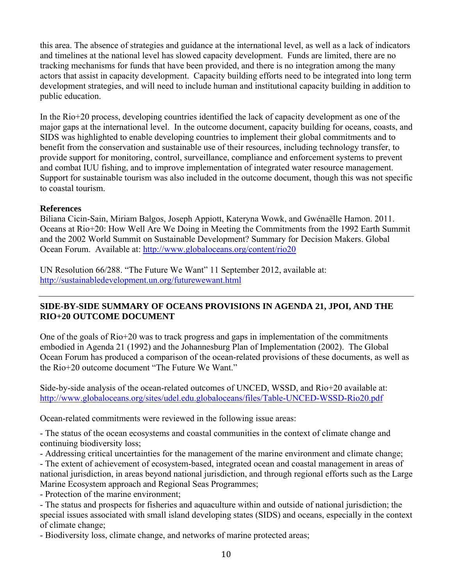this area. The absence of strategies and guidance at the international level, as well as a lack of indicators and timelines at the national level has slowed capacity development. Funds are limited, there are no tracking mechanisms for funds that have been provided, and there is no integration among the many actors that assist in capacity development. Capacity building efforts need to be integrated into long term development strategies, and will need to include human and institutional capacity building in addition to public education.

In the Rio+20 process, developing countries identified the lack of capacity development as one of the major gaps at the international level. In the outcome document, capacity building for oceans, coasts, and SIDS was highlighted to enable developing countries to implement their global commitments and to benefit from the conservation and sustainable use of their resources, including technology transfer, to provide support for monitoring, control, surveillance, compliance and enforcement systems to prevent and combat IUU fishing, and to improve implementation of integrated water resource management. Support for sustainable tourism was also included in the outcome document, though this was not specific to coastal tourism.

#### **References**

Biliana Cicin-Sain, Miriam Balgos, Joseph Appiott, Kateryna Wowk, and Gwénaëlle Hamon. 2011. Oceans at Rio+20: How Well Are We Doing in Meeting the Commitments from the 1992 Earth Summit and the 2002 World Summit on Sustainable Development? Summary for Decision Makers. Global Ocean Forum. Available at: http://www.globaloceans.org/content/rio20

UN Resolution 66/288. "The Future We Want" 11 September 2012, available at: http://sustainabledevelopment.un.org/futurewewant.html

#### **SIDE-BY-SIDE SUMMARY OF OCEANS PROVISIONS IN AGENDA 21, JPOI, AND THE RIO+20 OUTCOME DOCUMENT**

One of the goals of Rio+20 was to track progress and gaps in implementation of the commitments embodied in Agenda 21 (1992) and the Johannesburg Plan of Implementation (2002). The Global Ocean Forum has produced a comparison of the ocean-related provisions of these documents, as well as the Rio+20 outcome document "The Future We Want."

Side-by-side analysis of the ocean-related outcomes of UNCED, WSSD, and Rio+20 available at: http://www.globaloceans.org/sites/udel.edu.globaloceans/files/Table-UNCED-WSSD-Rio20.pdf

Ocean-related commitments were reviewed in the following issue areas:

- The status of the ocean ecosystems and coastal communities in the context of climate change and continuing biodiversity loss;

- Addressing critical uncertainties for the management of the marine environment and climate change;

- The extent of achievement of ecosystem-based, integrated ocean and coastal management in areas of national jurisdiction, in areas beyond national jurisdiction, and through regional efforts such as the Large Marine Ecosystem approach and Regional Seas Programmes;

- Protection of the marine environment;

- The status and prospects for fisheries and aquaculture within and outside of national jurisdiction; the special issues associated with small island developing states (SIDS) and oceans, especially in the context of climate change;

- Biodiversity loss, climate change, and networks of marine protected areas;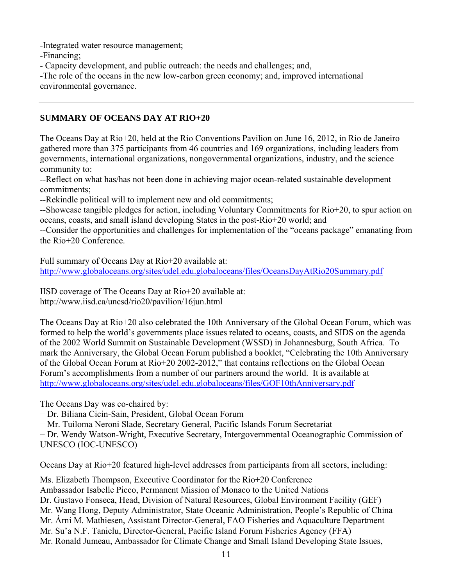-Integrated water resource management;

-Financing;

- Capacity development, and public outreach: the needs and challenges; and,

-The role of the oceans in the new low-carbon green economy; and, improved international environmental governance.

## **SUMMARY OF OCEANS DAY AT RIO+20**

The Oceans Day at Rio+20, held at the Rio Conventions Pavilion on June 16, 2012, in Rio de Janeiro gathered more than 375 participants from 46 countries and 169 organizations, including leaders from governments, international organizations, nongovernmental organizations, industry, and the science community to:

--Reflect on what has/has not been done in achieving major ocean-related sustainable development commitments;

--Rekindle political will to implement new and old commitments;

--Showcase tangible pledges for action, including Voluntary Commitments for Rio+20, to spur action on oceans, coasts, and small island developing States in the post-Rio+20 world; and

--Consider the opportunities and challenges for implementation of the "oceans package" emanating from the Rio+20 Conference.

Full summary of Oceans Day at Rio+20 available at: http://www.globaloceans.org/sites/udel.edu.globaloceans/files/OceansDayAtRio20Summary.pdf

IISD coverage of The Oceans Day at Rio+20 available at: http://www.iisd.ca/uncsd/rio20/pavilion/16jun.html

The Oceans Day at Rio+20 also celebrated the 10th Anniversary of the Global Ocean Forum, which was formed to help the world's governments place issues related to oceans, coasts, and SIDS on the agenda of the 2002 World Summit on Sustainable Development (WSSD) in Johannesburg, South Africa. To mark the Anniversary, the Global Ocean Forum published a booklet, "Celebrating the 10th Anniversary of the Global Ocean Forum at Rio+20 2002-2012," that contains reflections on the Global Ocean Forum's accomplishments from a number of our partners around the world. It is available at http://www.globaloceans.org/sites/udel.edu.globaloceans/files/GOF10thAnniversary.pdf

The Oceans Day was co-chaired by:

− Dr. Biliana Cicin-Sain, President, Global Ocean Forum

− Mr. Tuiloma Neroni Slade, Secretary General, Pacific Islands Forum Secretariat

− Dr. Wendy Watson-Wright, Executive Secretary, Intergovernmental Oceanographic Commission of UNESCO (IOC-UNESCO)

Oceans Day at Rio+20 featured high-level addresses from participants from all sectors, including:

Ms. Elizabeth Thompson, Executive Coordinator for the Rio+20 Conference Ambassador Isabelle Picco, Permanent Mission of Monaco to the United Nations Dr. Gustavo Fonseca, Head, Division of Natural Resources, Global Environment Facility (GEF) Mr. Wang Hong, Deputy Administrator, State Oceanic Administration, People's Republic of China Mr. Árni M. Mathiesen, Assistant Director-General, FAO Fisheries and Aquaculture Department Mr. Su'a N.F. Tanielu, Director-General, Pacific Island Forum Fisheries Agency (FFA) Mr. Ronald Jumeau, Ambassador for Climate Change and Small Island Developing State Issues,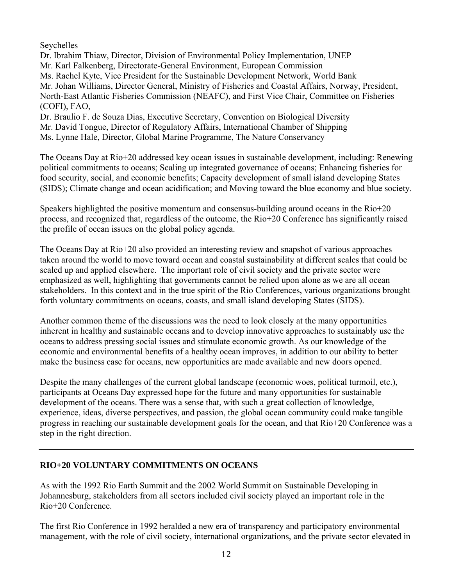Seychelles

Dr. Ibrahim Thiaw, Director, Division of Environmental Policy Implementation, UNEP Mr. Karl Falkenberg, Directorate-General Environment, European Commission Ms. Rachel Kyte, Vice President for the Sustainable Development Network, World Bank Mr. Johan Williams, Director General, Ministry of Fisheries and Coastal Affairs, Norway, President, North-East Atlantic Fisheries Commission (NEAFC), and First Vice Chair, Committee on Fisheries (COFI), FAO, Dr. Braulio F. de Souza Dias, Executive Secretary, Convention on Biological Diversity

Mr. David Tongue, Director of Regulatory Affairs, International Chamber of Shipping Ms. Lynne Hale, Director, Global Marine Programme, The Nature Conservancy

The Oceans Day at Rio+20 addressed key ocean issues in sustainable development, including: Renewing political commitments to oceans; Scaling up integrated governance of oceans; Enhancing fisheries for food security, social, and economic benefits; Capacity development of small island developing States (SIDS); Climate change and ocean acidification; and Moving toward the blue economy and blue society.

Speakers highlighted the positive momentum and consensus-building around oceans in the Rio+20 process, and recognized that, regardless of the outcome, the Rio+20 Conference has significantly raised the profile of ocean issues on the global policy agenda.

The Oceans Day at Rio+20 also provided an interesting review and snapshot of various approaches taken around the world to move toward ocean and coastal sustainability at different scales that could be scaled up and applied elsewhere. The important role of civil society and the private sector were emphasized as well, highlighting that governments cannot be relied upon alone as we are all ocean stakeholders. In this context and in the true spirit of the Rio Conferences, various organizations brought forth voluntary commitments on oceans, coasts, and small island developing States (SIDS).

Another common theme of the discussions was the need to look closely at the many opportunities inherent in healthy and sustainable oceans and to develop innovative approaches to sustainably use the oceans to address pressing social issues and stimulate economic growth. As our knowledge of the economic and environmental benefits of a healthy ocean improves, in addition to our ability to better make the business case for oceans, new opportunities are made available and new doors opened.

Despite the many challenges of the current global landscape (economic woes, political turmoil, etc.), participants at Oceans Day expressed hope for the future and many opportunities for sustainable development of the oceans. There was a sense that, with such a great collection of knowledge, experience, ideas, diverse perspectives, and passion, the global ocean community could make tangible progress in reaching our sustainable development goals for the ocean, and that Rio+20 Conference was a step in the right direction.

#### **RIO+20 VOLUNTARY COMMITMENTS ON OCEANS**

As with the 1992 Rio Earth Summit and the 2002 World Summit on Sustainable Developing in Johannesburg, stakeholders from all sectors included civil society played an important role in the Rio+20 Conference.

The first Rio Conference in 1992 heralded a new era of transparency and participatory environmental management, with the role of civil society, international organizations, and the private sector elevated in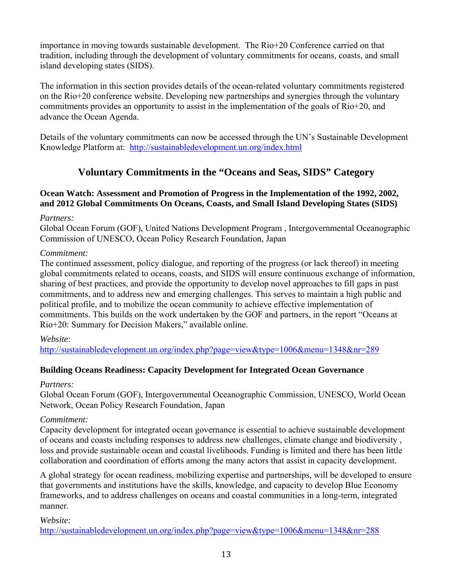importance in moving towards sustainable development. The Rio+20 Conference carried on that tradition, including through the development of voluntary commitments for oceans, coasts, and small island developing states (SIDS).

The information in this section provides details of the ocean-related voluntary commitments registered on the Rio+20 conference website. Developing new partnerships and synergies through the voluntary commitments provides an opportunity to assist in the implementation of the goals of Rio+20, and advance the Ocean Agenda.

Details of the voluntary commitments can now be accessed through the UN's Sustainable Development Knowledge Platform at: http://sustainabledevelopment.un.org/index.html

## **Voluntary Commitments in the "Oceans and Seas, SIDS" Category**

#### **Ocean Watch: Assessment and Promotion of Progress in the Implementation of the 1992, 2002, and 2012 Global Commitments On Oceans, Coasts, and Small Island Developing States (SIDS)**

*Partners:* 

Global Ocean Forum (GOF), United Nations Development Program , Intergovernmental Oceanographic Commission of UNESCO, Ocean Policy Research Foundation, Japan

#### *Commitment:*

The continued assessment, policy dialogue, and reporting of the progress (or lack thereof) in meeting global commitments related to oceans, coasts, and SIDS will ensure continuous exchange of information, sharing of best practices, and provide the opportunity to develop novel approaches to fill gaps in past commitments, and to address new and emerging challenges. This serves to maintain a high public and political profile, and to mobilize the ocean community to achieve effective implementation of commitments. This builds on the work undertaken by the GOF and partners, in the report "Oceans at Rio+20: Summary for Decision Makers," available online.

*Website*:

http://sustainabledevelopment.un.org/index.php?page=view&type=1006&menu=1348&nr=289

## **Building Oceans Readiness: Capacity Development for Integrated Ocean Governance**

#### *Partners:*

Global Ocean Forum (GOF), Intergovernmental Oceanographic Commission, UNESCO, World Ocean Network, Ocean Policy Research Foundation, Japan

## *Commitment:*

Capacity development for integrated ocean governance is essential to achieve sustainable development of oceans and coasts including responses to address new challenges, climate change and biodiversity , loss and provide sustainable ocean and coastal livelihoods. Funding is limited and there has been little collaboration and coordination of efforts among the many actors that assist in capacity development.

A global strategy for ocean readiness, mobilizing expertise and partnerships, will be developed to ensure that governments and institutions have the skills, knowledge, and capacity to develop Blue Economy frameworks, and to address challenges on oceans and coastal communities in a long-term, integrated manner.

*Website:* 

http://sustainabledevelopment.un.org/index.php?page=view&type=1006&menu=1348&nr=288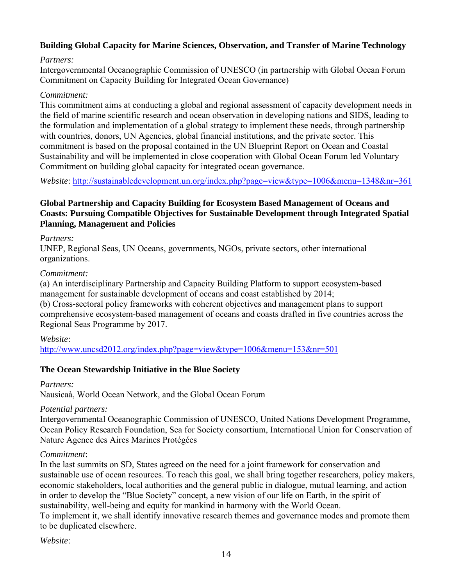## **Building Global Capacity for Marine Sciences, Observation, and Transfer of Marine Technology**

#### *Partners:*

Intergovernmental Oceanographic Commission of UNESCO (in partnership with Global Ocean Forum Commitment on Capacity Building for Integrated Ocean Governance)

#### *Commitment:*

This commitment aims at conducting a global and regional assessment of capacity development needs in the field of marine scientific research and ocean observation in developing nations and SIDS, leading to the formulation and implementation of a global strategy to implement these needs, through partnership with countries, donors, UN Agencies, global financial institutions, and the private sector. This commitment is based on the proposal contained in the UN Blueprint Report on Ocean and Coastal Sustainability and will be implemented in close cooperation with Global Ocean Forum led Voluntary Commitment on building global capacity for integrated ocean governance.

*Website*: http://sustainabledevelopment.un.org/index.php?page=view&type=1006&menu=1348&nr=361

#### **Global Partnership and Capacity Building for Ecosystem Based Management of Oceans and Coasts: Pursuing Compatible Objectives for Sustainable Development through Integrated Spatial Planning, Management and Policies**

#### *Partners:*

UNEP, Regional Seas, UN Oceans, governments, NGOs, private sectors, other international organizations.

#### *Commitment:*

(a) An interdisciplinary Partnership and Capacity Building Platform to support ecosystem-based management for sustainable development of oceans and coast established by 2014; (b) Cross-sectoral policy frameworks with coherent objectives and management plans to support comprehensive ecosystem-based management of oceans and coasts drafted in five countries across the Regional Seas Programme by 2017.

#### *Website*:

http://www.uncsd2012.org/index.php?page=view&type=1006&menu=153&nr=501

## **The Ocean Stewardship Initiative in the Blue Society**

#### *Partners:*

Nausicaà, World Ocean Network, and the Global Ocean Forum

#### *Potential partners:*

Intergovernmental Oceanographic Commission of UNESCO, United Nations Development Programme, Ocean Policy Research Foundation, Sea for Society consortium, International Union for Conservation of Nature Agence des Aires Marines Protégées

## *Commitment*:

In the last summits on SD, States agreed on the need for a joint framework for conservation and sustainable use of ocean resources. To reach this goal, we shall bring together researchers, policy makers, economic stakeholders, local authorities and the general public in dialogue, mutual learning, and action in order to develop the "Blue Society" concept, a new vision of our life on Earth, in the spirit of sustainability, well-being and equity for mankind in harmony with the World Ocean. To implement it, we shall identify innovative research themes and governance modes and promote them to be duplicated elsewhere.

*Website*: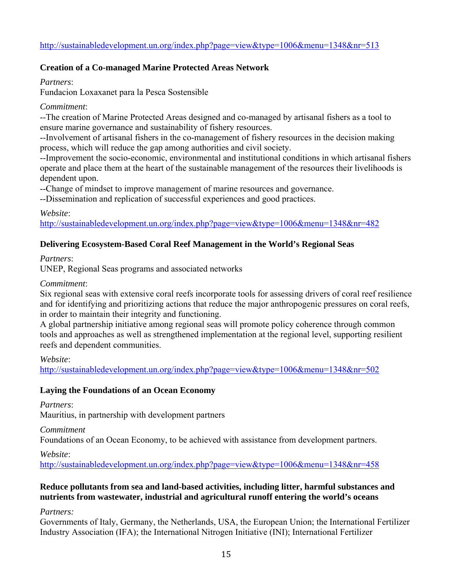## **Creation of a Co-managed Marine Protected Areas Network**

*Partners*:

Fundacion Loxaxanet para la Pesca Sostensible

#### *Commitment*:

--The creation of Marine Protected Areas designed and co-managed by artisanal fishers as a tool to ensure marine governance and sustainability of fishery resources.

--Involvement of artisanal fishers in the co-management of fishery resources in the decision making process, which will reduce the gap among authorities and civil society.

--Improvement the socio-economic, environmental and institutional conditions in which artisanal fishers operate and place them at the heart of the sustainable management of the resources their livelihoods is dependent upon.

--Change of mindset to improve management of marine resources and governance.

--Dissemination and replication of successful experiences and good practices.

*Website*:

http://sustainabledevelopment.un.org/index.php?page=view&type=1006&menu=1348&nr=482

## **Delivering Ecosystem-Based Coral Reef Management in the World's Regional Seas**

*Partners*:

UNEP, Regional Seas programs and associated networks

#### *Commitment*:

Six regional seas with extensive coral reefs incorporate tools for assessing drivers of coral reef resilience and for identifying and prioritizing actions that reduce the major anthropogenic pressures on coral reefs, in order to maintain their integrity and functioning.

A global partnership initiative among regional seas will promote policy coherence through common tools and approaches as well as strengthened implementation at the regional level, supporting resilient reefs and dependent communities.

*Website*:

http://sustainabledevelopment.un.org/index.php?page=view&type=1006&menu=1348&nr=502

## **Laying the Foundations of an Ocean Economy**

*Partners*: Mauritius, in partnership with development partners

*Commitment* 

Foundations of an Ocean Economy, to be achieved with assistance from development partners.

*Website*:

http://sustainabledevelopment.un.org/index.php?page=view&type=1006&menu=1348&nr=458

#### **Reduce pollutants from sea and land-based activities, including litter, harmful substances and nutrients from wastewater, industrial and agricultural runoff entering the world's oceans**

*Partners:* 

Governments of Italy, Germany, the Netherlands, USA, the European Union; the International Fertilizer Industry Association (IFA); the International Nitrogen Initiative (INI); International Fertilizer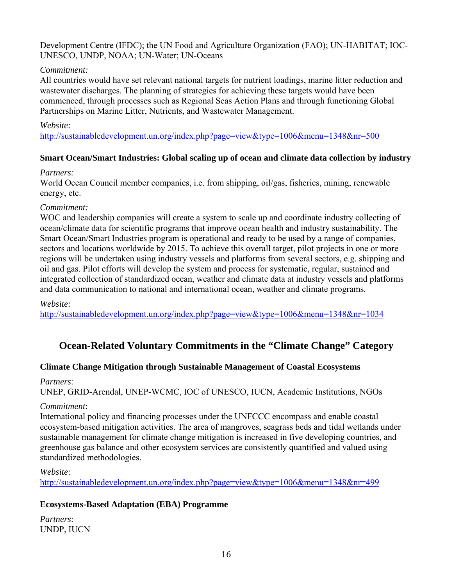#### Development Centre (IFDC); the UN Food and Agriculture Organization (FAO); UN-HABITAT; IOC-UNESCO, UNDP, NOAA; UN-Water; UN-Oceans

#### *Commitment:*

All countries would have set relevant national targets for nutrient loadings, marine litter reduction and wastewater discharges. The planning of strategies for achieving these targets would have been commenced, through processes such as Regional Seas Action Plans and through functioning Global Partnerships on Marine Litter, Nutrients, and Wastewater Management.

#### *Website:*

http://sustainabledevelopment.un.org/index.php?page=view&type=1006&menu=1348&nr=500

#### **Smart Ocean/Smart Industries: Global scaling up of ocean and climate data collection by industry**

#### *Partners:*

World Ocean Council member companies, i.e. from shipping, oil/gas, fisheries, mining, renewable energy, etc.

#### *Commitment:*

WOC and leadership companies will create a system to scale up and coordinate industry collecting of ocean/climate data for scientific programs that improve ocean health and industry sustainability. The Smart Ocean/Smart Industries program is operational and ready to be used by a range of companies, sectors and locations worldwide by 2015. To achieve this overall target, pilot projects in one or more regions will be undertaken using industry vessels and platforms from several sectors, e.g. shipping and oil and gas. Pilot efforts will develop the system and process for systematic, regular, sustained and integrated collection of standardized ocean, weather and climate data at industry vessels and platforms and data communication to national and international ocean, weather and climate programs.

#### *Website:*

http://sustainabledevelopment.un.org/index.php?page=view&type=1006&menu=1348&nr=1034

## **Ocean-Related Voluntary Commitments in the "Climate Change" Category**

#### **Climate Change Mitigation through Sustainable Management of Coastal Ecosystems**

#### *Partners*:

UNEP, GRID-Arendal, UNEP-WCMC, IOC of UNESCO, IUCN, Academic Institutions, NGOs

#### *Commitment*:

International policy and financing processes under the UNFCCC encompass and enable coastal ecosystem-based mitigation activities. The area of mangroves, seagrass beds and tidal wetlands under sustainable management for climate change mitigation is increased in five developing countries, and greenhouse gas balance and other ecosystem services are consistently quantified and valued using standardized methodologies.

#### *Website*:

http://sustainabledevelopment.un.org/index.php?page=view&type=1006&menu=1348&nr=499

## **Ecosystems-Based Adaptation (EBA) Programme**

*Partners*: UNDP, IUCN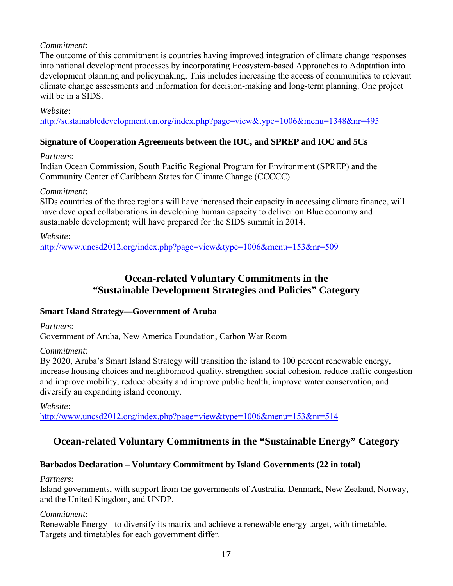### *Commitment*:

The outcome of this commitment is countries having improved integration of climate change responses into national development processes by incorporating Ecosystem-based Approaches to Adaptation into development planning and policymaking. This includes increasing the access of communities to relevant climate change assessments and information for decision-making and long-term planning. One project will be in a SIDS.

#### *Website*:

http://sustainabledevelopment.un.org/index.php?page=view&type=1006&menu=1348&nr=495

#### **Signature of Cooperation Agreements between the IOC, and SPREP and IOC and 5Cs**

#### *Partners*:

Indian Ocean Commission, South Pacific Regional Program for Environment (SPREP) and the Community Center of Caribbean States for Climate Change (CCCCC)

#### *Commitment*:

SIDs countries of the three regions will have increased their capacity in accessing climate finance, will have developed collaborations in developing human capacity to deliver on Blue economy and sustainable development; will have prepared for the SIDS summit in 2014.

*Website*:

http://www.uncsd2012.org/index.php?page=view&type=1006&menu=153&nr=509

## **Ocean-related Voluntary Commitments in the "Sustainable Development Strategies and Policies" Category**

#### **Smart Island Strategy—Government of Aruba**

*Partners*: Government of Aruba, New America Foundation, Carbon War Room

#### *Commitment*:

By 2020, Aruba's Smart Island Strategy will transition the island to 100 percent renewable energy, increase housing choices and neighborhood quality, strengthen social cohesion, reduce traffic congestion and improve mobility, reduce obesity and improve public health, improve water conservation, and diversify an expanding island economy.

*Website*: http://www.uncsd2012.org/index.php?page=view&type=1006&menu=153&nr=514

## **Ocean-related Voluntary Commitments in the "Sustainable Energy" Category**

## **Barbados Declaration – Voluntary Commitment by Island Governments (22 in total)**

#### *Partners*:

Island governments, with support from the governments of Australia, Denmark, New Zealand, Norway, and the United Kingdom, and UNDP.

#### *Commitment*:

Renewable Energy - to diversify its matrix and achieve a renewable energy target, with timetable. Targets and timetables for each government differ.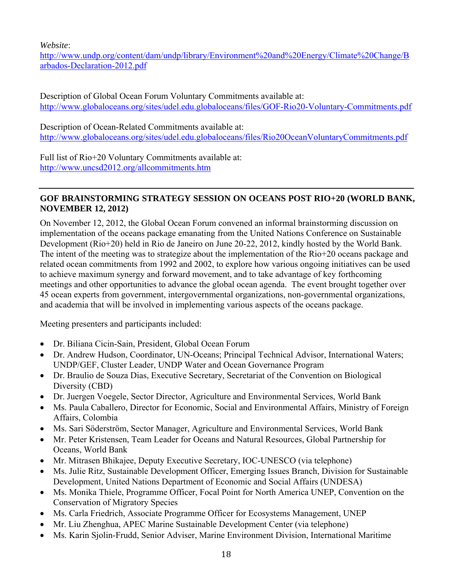*Website*:

http://www.undp.org/content/dam/undp/library/Environment%20and%20Energy/Climate%20Change/B arbados-Declaration-2012.pdf

Description of Global Ocean Forum Voluntary Commitments available at: http://www.globaloceans.org/sites/udel.edu.globaloceans/files/GOF-Rio20-Voluntary-Commitments.pdf

Description of Ocean-Related Commitments available at: http://www.globaloceans.org/sites/udel.edu.globaloceans/files/Rio20OceanVoluntaryCommitments.pdf

Full list of Rio+20 Voluntary Commitments available at: http://www.uncsd2012.org/allcommitments.htm

### **GOF BRAINSTORMING STRATEGY SESSION ON OCEANS POST RIO+20 (WORLD BANK, NOVEMBER 12, 2012)**

On November 12, 2012, the Global Ocean Forum convened an informal brainstorming discussion on implementation of the oceans package emanating from the United Nations Conference on Sustainable Development (Rio+20) held in Rio de Janeiro on June 20-22, 2012, kindly hosted by the World Bank. The intent of the meeting was to strategize about the implementation of the Rio+20 oceans package and related ocean commitments from 1992 and 2002, to explore how various ongoing initiatives can be used to achieve maximum synergy and forward movement, and to take advantage of key forthcoming meetings and other opportunities to advance the global ocean agenda. The event brought together over 45 ocean experts from government, intergovernmental organizations, non-governmental organizations, and academia that will be involved in implementing various aspects of the oceans package.

Meeting presenters and participants included:

- Dr. Biliana Cicin-Sain, President, Global Ocean Forum
- Dr. Andrew Hudson, Coordinator, UN-Oceans; Principal Technical Advisor, International Waters; UNDP/GEF, Cluster Leader, UNDP Water and Ocean Governance Program
- Dr. Braulio de Souza Dias, Executive Secretary, Secretariat of the Convention on Biological Diversity (CBD)
- Dr. Juergen Voegele, Sector Director, Agriculture and Environmental Services, World Bank
- Ms. Paula Caballero, Director for Economic, Social and Environmental Affairs, Ministry of Foreign Affairs, Colombia
- Ms. Sari Söderström, Sector Manager, Agriculture and Environmental Services, World Bank
- Mr. Peter Kristensen, Team Leader for Oceans and Natural Resources, Global Partnership for Oceans, World Bank
- Mr. Mitrasen Bhikajee, Deputy Executive Secretary, IOC-UNESCO (via telephone)
- Ms. Julie Ritz, Sustainable Development Officer, Emerging Issues Branch, Division for Sustainable Development, United Nations Department of Economic and Social Affairs (UNDESA)
- Ms. Monika Thiele, Programme Officer, Focal Point for North America UNEP, Convention on the Conservation of Migratory Species
- Ms. Carla Friedrich, Associate Programme Officer for Ecosystems Management, UNEP
- Mr. Liu Zhenghua, APEC Marine Sustainable Development Center (via telephone)
- Ms. Karin Sjolin-Frudd, Senior Adviser, Marine Environment Division, International Maritime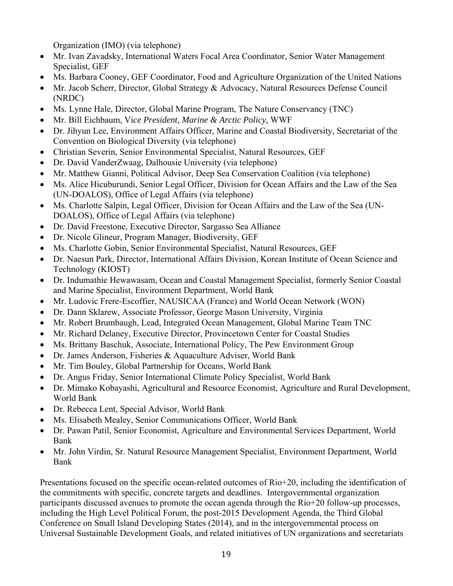Organization (IMO) (via telephone)

- Mr. Ivan Zavadsky, International Waters Focal Area Coordinator, Senior Water Management Specialist, GEF
- Ms. Barbara Cooney, GEF Coordinator, Food and Agriculture Organization of the United Nations
- Mr. Jacob Scherr, Director, Global Strategy & Advocacy, Natural Resources Defense Council (NRDC)
- Ms. Lynne Hale, Director, Global Marine Program, The Nature Conservancy (TNC)
- Mr. Bill Eichbaum, Vi*ce President, Marine & Arctic Policy,* WWF
- Dr. Jihyun Lee, Environment Affairs Officer, Marine and Coastal Biodiversity, Secretariat of the Convention on Biological Diversity (via telephone)
- Christian Severin, Senior Environmental Specialist, Natural Resources, GEF
- Dr. David VanderZwaag, Dalhousie University (via telephone)
- Mr. Matthew Gianni, Political Advisor, Deep Sea Conservation Coalition (via telephone)
- Ms. Alice Hicuburundi, Senior Legal Officer, Division for Ocean Affairs and the Law of the Sea (UN-DOALOS), Office of Legal Affairs (via telephone)
- Ms. Charlotte Salpin, Legal Officer, Division for Ocean Affairs and the Law of the Sea (UN-DOALOS), Office of Legal Affairs (via telephone)
- Dr. David Freestone, Executive Director, Sargasso Sea Alliance
- Dr. Nicole Glineur, Program Manager, Biodiversity, GEF
- Ms. Charlotte Gobin, Senior Environmental Specialist, Natural Resources, GEF
- Dr. Naesun Park, Director, International Affairs Division, Korean Institute of Ocean Science and Technology (KIOST)
- Dr. Indumathie Hewawasam, Ocean and Coastal Management Specialist, formerly Senior Coastal and Marine Specialist, Environment Department, World Bank
- Mr. Ludovic Frere-Escoffier, NAUSICAA (France) and World Ocean Network (WON)
- Dr. Dann Sklarew, Associate Professor, George Mason University, Virginia
- Mr. Robert Brumbaugh, Lead, Integrated Ocean Management, Global Marine Team TNC
- Mr. Richard Delaney, Executive Director, Provincetown Center for Coastal Studies
- Ms. Brittany Baschuk, Associate, International Policy, The Pew Environment Group
- Dr. James Anderson, Fisheries & Aquaculture Adviser, World Bank
- Mr. Tim Bouley, Global Partnership for Oceans, World Bank
- Dr. Angus Friday, Senior International Climate Policy Specialist, World Bank
- Dr. Mimako Kobayashi, Agricultural and Resource Economist, Agriculture and Rural Development, World Bank
- Dr. Rebecca Lent, Special Advisor, World Bank
- Ms. Elisabeth Mealey, Senior Communications Officer, World Bank
- Dr. Pawan Patil, Senior Economist, Agriculture and Environmental Services Department, World Bank
- Mr. John Virdin, Sr. Natural Resource Management Specialist, Environment Department, World Bank

Presentations focused on the specific ocean-related outcomes of Rio+20, including the identification of the commitments with specific, concrete targets and deadlines. Intergovernmental organization participants discussed avenues to promote the ocean agenda through the Rio+20 follow-up processes, including the High Level Political Forum, the post-2015 Development Agenda, the Third Global Conference on Small Island Developing States (2014), and in the intergovernmental process on Universal Sustainable Development Goals, and related initiatives of UN organizations and secretariats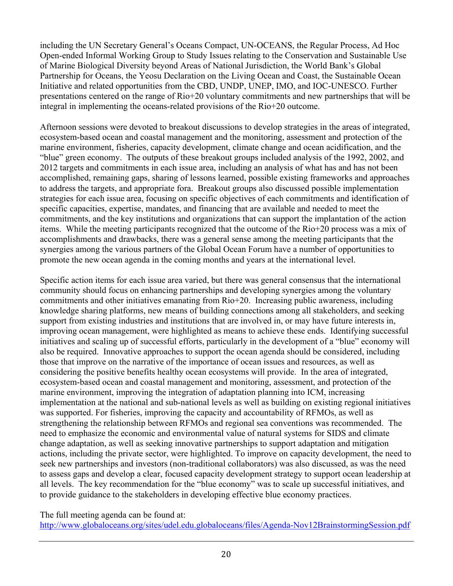including the UN Secretary General's Oceans Compact, UN-OCEANS, the Regular Process, Ad Hoc Open-ended Informal Working Group to Study Issues relating to the Conservation and Sustainable Use of Marine Biological Diversity beyond Areas of National Jurisdiction, the World Bank's Global Partnership for Oceans, the Yeosu Declaration on the Living Ocean and Coast, the Sustainable Ocean Initiative and related opportunities from the CBD, UNDP, UNEP, IMO, and IOC-UNESCO. Further presentations centered on the range of Rio+20 voluntary commitments and new partnerships that will be integral in implementing the oceans-related provisions of the Rio+20 outcome.

Afternoon sessions were devoted to breakout discussions to develop strategies in the areas of integrated, ecosystem-based ocean and coastal management and the monitoring, assessment and protection of the marine environment, fisheries, capacity development, climate change and ocean acidification, and the "blue" green economy. The outputs of these breakout groups included analysis of the 1992, 2002, and 2012 targets and commitments in each issue area, including an analysis of what has and has not been accomplished, remaining gaps, sharing of lessons learned, possible existing frameworks and approaches to address the targets, and appropriate fora. Breakout groups also discussed possible implementation strategies for each issue area, focusing on specific objectives of each commitments and identification of specific capacities, expertise, mandates, and financing that are available and needed to meet the commitments, and the key institutions and organizations that can support the implantation of the action items. While the meeting participants recognized that the outcome of the Rio+20 process was a mix of accomplishments and drawbacks, there was a general sense among the meeting participants that the synergies among the various partners of the Global Ocean Forum have a number of opportunities to promote the new ocean agenda in the coming months and years at the international level.

Specific action items for each issue area varied, but there was general consensus that the international community should focus on enhancing partnerships and developing synergies among the voluntary commitments and other initiatives emanating from Rio+20. Increasing public awareness, including knowledge sharing platforms, new means of building connections among all stakeholders, and seeking support from existing industries and institutions that are involved in, or may have future interests in, improving ocean management, were highlighted as means to achieve these ends. Identifying successful initiatives and scaling up of successful efforts, particularly in the development of a "blue" economy will also be required. Innovative approaches to support the ocean agenda should be considered, including those that improve on the narrative of the importance of ocean issues and resources, as well as considering the positive benefits healthy ocean ecosystems will provide. In the area of integrated, ecosystem-based ocean and coastal management and monitoring, assessment, and protection of the marine environment, improving the integration of adaptation planning into ICM, increasing implementation at the national and sub-national levels as well as building on existing regional initiatives was supported. For fisheries, improving the capacity and accountability of RFMOs, as well as strengthening the relationship between RFMOs and regional sea conventions was recommended. The need to emphasize the economic and environmental value of natural systems for SIDS and climate change adaptation, as well as seeking innovative partnerships to support adaptation and mitigation actions, including the private sector, were highlighted. To improve on capacity development, the need to seek new partnerships and investors (non-traditional collaborators) was also discussed, as was the need to assess gaps and develop a clear, focused capacity development strategy to support ocean leadership at all levels. The key recommendation for the "blue economy" was to scale up successful initiatives, and to provide guidance to the stakeholders in developing effective blue economy practices.

The full meeting agenda can be found at: http://www.globaloceans.org/sites/udel.edu.globaloceans/files/Agenda-Nov12BrainstormingSession.pdf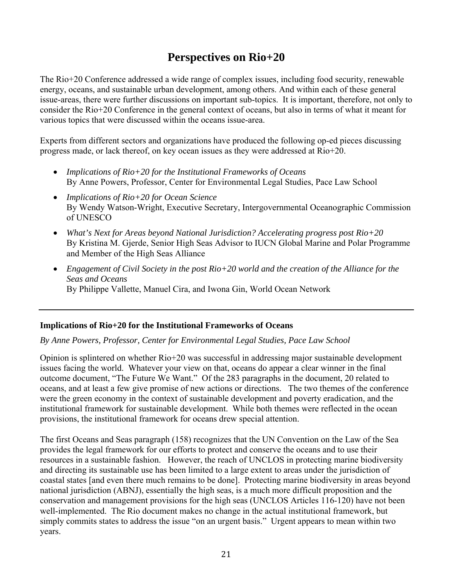# **Perspectives on Rio+20**

The Rio+20 Conference addressed a wide range of complex issues, including food security, renewable energy, oceans, and sustainable urban development, among others. And within each of these general issue-areas, there were further discussions on important sub-topics. It is important, therefore, not only to consider the Rio+20 Conference in the general context of oceans, but also in terms of what it meant for various topics that were discussed within the oceans issue-area.

Experts from different sectors and organizations have produced the following op-ed pieces discussing progress made, or lack thereof, on key ocean issues as they were addressed at Rio+20.

- *Implications of Rio+20 for the Institutional Frameworks of Oceans* By Anne Powers, Professor, Center for Environmental Legal Studies, Pace Law School
- *Implications of Rio+20 for Ocean Science* By Wendy Watson-Wright, Executive Secretary, Intergovernmental Oceanographic Commission of UNESCO
- *What's Next for Areas beyond National Jurisdiction? Accelerating progress post Rio+20* By Kristina M. Gjerde, Senior High Seas Advisor to IUCN Global Marine and Polar Programme and Member of the High Seas Alliance
- *Engagement of Civil Society in the post Rio+20 world and the creation of the Alliance for the Seas and Oceans* By Philippe Vallette, Manuel Cira, and Iwona Gin, World Ocean Network

#### **Implications of Rio+20 for the Institutional Frameworks of Oceans**

#### *By Anne Powers, Professor, Center for Environmental Legal Studies, Pace Law School*

Opinion is splintered on whether Rio+20 was successful in addressing major sustainable development issues facing the world. Whatever your view on that, oceans do appear a clear winner in the final outcome document, "The Future We Want." Of the 283 paragraphs in the document, 20 related to oceans, and at least a few give promise of new actions or directions. The two themes of the conference were the green economy in the context of sustainable development and poverty eradication, and the institutional framework for sustainable development. While both themes were reflected in the ocean provisions, the institutional framework for oceans drew special attention.

The first Oceans and Seas paragraph (158) recognizes that the UN Convention on the Law of the Sea provides the legal framework for our efforts to protect and conserve the oceans and to use their resources in a sustainable fashion. However, the reach of UNCLOS in protecting marine biodiversity and directing its sustainable use has been limited to a large extent to areas under the jurisdiction of coastal states [and even there much remains to be done]. Protecting marine biodiversity in areas beyond national jurisdiction (ABNJ), essentially the high seas, is a much more difficult proposition and the conservation and management provisions for the high seas (UNCLOS Articles 116-120) have not been well-implemented. The Rio document makes no change in the actual institutional framework, but simply commits states to address the issue "on an urgent basis." Urgent appears to mean within two years.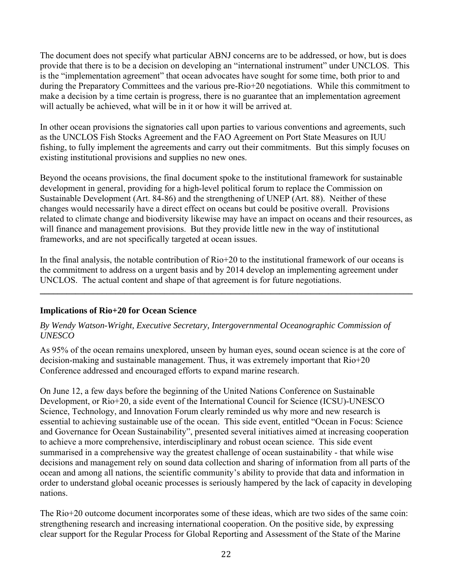The document does not specify what particular ABNJ concerns are to be addressed, or how, but is does provide that there is to be a decision on developing an "international instrument" under UNCLOS. This is the "implementation agreement" that ocean advocates have sought for some time, both prior to and during the Preparatory Committees and the various pre-Rio+20 negotiations. While this commitment to make a decision by a time certain is progress, there is no guarantee that an implementation agreement will actually be achieved, what will be in it or how it will be arrived at.

In other ocean provisions the signatories call upon parties to various conventions and agreements, such as the UNCLOS Fish Stocks Agreement and the FAO Agreement on Port State Measures on IUU fishing, to fully implement the agreements and carry out their commitments. But this simply focuses on existing institutional provisions and supplies no new ones.

Beyond the oceans provisions, the final document spoke to the institutional framework for sustainable development in general, providing for a high-level political forum to replace the Commission on Sustainable Development (Art. 84-86) and the strengthening of UNEP (Art. 88). Neither of these changes would necessarily have a direct effect on oceans but could be positive overall. Provisions related to climate change and biodiversity likewise may have an impact on oceans and their resources, as will finance and management provisions. But they provide little new in the way of institutional frameworks, and are not specifically targeted at ocean issues.

In the final analysis, the notable contribution of Rio+20 to the institutional framework of our oceans is the commitment to address on a urgent basis and by 2014 develop an implementing agreement under UNCLOS. The actual content and shape of that agreement is for future negotiations.

**\_\_\_\_\_\_\_\_\_\_\_\_\_\_\_\_\_\_\_\_\_\_\_\_\_\_\_\_\_\_\_\_\_\_\_\_\_\_\_\_\_\_\_\_\_\_\_\_\_\_\_\_\_\_\_\_\_\_\_\_\_\_\_\_\_\_\_\_\_\_\_\_\_\_\_\_\_\_\_\_\_\_\_\_** 

#### **Implications of Rio+20 for Ocean Science**

#### *By Wendy Watson-Wright, Executive Secretary, Intergovernmental Oceanographic Commission of UNESCO*

As 95% of the ocean remains unexplored, unseen by human eyes, sound ocean science is at the core of decision-making and sustainable management. Thus, it was extremely important that Rio+20 Conference addressed and encouraged efforts to expand marine research.

On June 12, a few days before the beginning of the United Nations Conference on Sustainable Development, or Rio+20, a side event of the International Council for Science (ICSU)-UNESCO Science, Technology, and Innovation Forum clearly reminded us why more and new research is essential to achieving sustainable use of the ocean. This side event, entitled "Ocean in Focus: Science and Governance for Ocean Sustainability", presented several initiatives aimed at increasing cooperation to achieve a more comprehensive, interdisciplinary and robust ocean science. This side event summarised in a comprehensive way the greatest challenge of ocean sustainability - that while wise decisions and management rely on sound data collection and sharing of information from all parts of the ocean and among all nations, the scientific community's ability to provide that data and information in order to understand global oceanic processes is seriously hampered by the lack of capacity in developing nations.

The Rio+20 outcome document incorporates some of these ideas, which are two sides of the same coin: strengthening research and increasing international cooperation. On the positive side, by expressing clear support for the Regular Process for Global Reporting and Assessment of the State of the Marine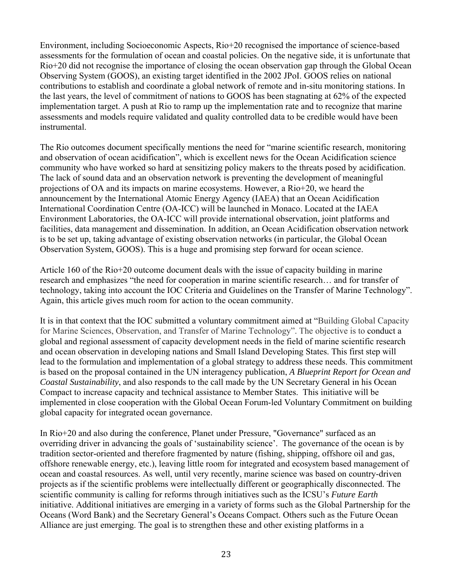Environment, including Socioeconomic Aspects, Rio+20 recognised the importance of science-based assessments for the formulation of ocean and coastal policies. On the negative side, it is unfortunate that Rio+20 did not recognise the importance of closing the ocean observation gap through the Global Ocean Observing System (GOOS), an existing target identified in the 2002 JPoI. GOOS relies on national contributions to establish and coordinate a global network of remote and in-situ monitoring stations. In the last years, the level of commitment of nations to GOOS has been stagnating at 62% of the expected implementation target. A push at Rio to ramp up the implementation rate and to recognize that marine assessments and models require validated and quality controlled data to be credible would have been instrumental.

The Rio outcomes document specifically mentions the need for "marine scientific research, monitoring and observation of ocean acidification", which is excellent news for the Ocean Acidification science community who have worked so hard at sensitizing policy makers to the threats posed by acidification. The lack of sound data and an observation network is preventing the development of meaningful projections of OA and its impacts on marine ecosystems. However, a Rio+20, we heard the announcement by the International Atomic Energy Agency (IAEA) that an Ocean Acidification International Coordination Centre (OA-ICC) will be launched in Monaco. Located at the IAEA Environment Laboratories, the OA-ICC will provide international observation, joint platforms and facilities, data management and dissemination. In addition, an Ocean Acidification observation network is to be set up, taking advantage of existing observation networks (in particular, the Global Ocean Observation System, GOOS). This is a huge and promising step forward for ocean science.

Article 160 of the Rio+20 outcome document deals with the issue of capacity building in marine research and emphasizes "the need for cooperation in marine scientific research… and for transfer of technology, taking into account the IOC Criteria and Guidelines on the Transfer of Marine Technology". Again, this article gives much room for action to the ocean community.

It is in that context that the IOC submitted a voluntary commitment aimed at "Building Global Capacity for Marine Sciences, Observation, and Transfer of Marine Technology". The objective is to conduct a global and regional assessment of capacity development needs in the field of marine scientific research and ocean observation in developing nations and Small Island Developing States. This first step will lead to the formulation and implementation of a global strategy to address these needs. This commitment is based on the proposal contained in the UN interagency publication, *A Blueprint Report for Ocean and Coastal Sustainability*, and also responds to the call made by the UN Secretary General in his Ocean Compact to increase capacity and technical assistance to Member States. This initiative will be implemented in close cooperation with the Global Ocean Forum-led Voluntary Commitment on building global capacity for integrated ocean governance.

In Rio+20 and also during the conference, Planet under Pressure, "Governance" surfaced as an overriding driver in advancing the goals of 'sustainability science'. The governance of the ocean is by tradition sector-oriented and therefore fragmented by nature (fishing, shipping, offshore oil and gas, offshore renewable energy, etc.), leaving little room for integrated and ecosystem based management of ocean and coastal resources. As well, until very recently, marine science was based on country-driven projects as if the scientific problems were intellectually different or geographically disconnected. The scientific community is calling for reforms through initiatives such as the ICSU's *Future Earth*  initiative. Additional initiatives are emerging in a variety of forms such as the Global Partnership for the Oceans (Word Bank) and the Secretary General's Oceans Compact. Others such as the Future Ocean Alliance are just emerging. The goal is to strengthen these and other existing platforms in a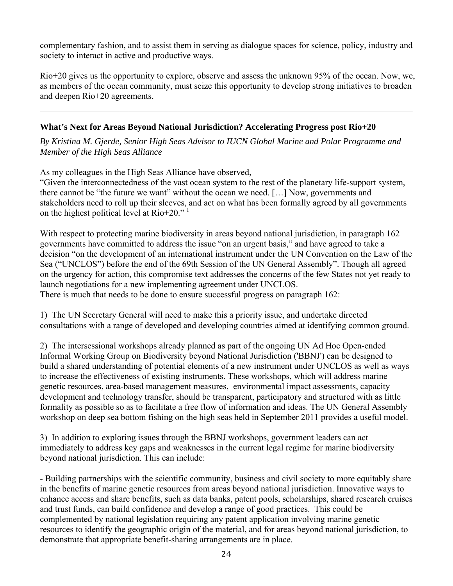complementary fashion, and to assist them in serving as dialogue spaces for science, policy, industry and society to interact in active and productive ways.

Rio+20 gives us the opportunity to explore, observe and assess the unknown 95% of the ocean. Now, we, as members of the ocean community, must seize this opportunity to develop strong initiatives to broaden and deepen Rio+20 agreements.

 $\mathcal{L}_\mathcal{L} = \{ \mathcal{L}_\mathcal{L} = \{ \mathcal{L}_\mathcal{L} = \{ \mathcal{L}_\mathcal{L} = \{ \mathcal{L}_\mathcal{L} = \{ \mathcal{L}_\mathcal{L} = \{ \mathcal{L}_\mathcal{L} = \{ \mathcal{L}_\mathcal{L} = \{ \mathcal{L}_\mathcal{L} = \{ \mathcal{L}_\mathcal{L} = \{ \mathcal{L}_\mathcal{L} = \{ \mathcal{L}_\mathcal{L} = \{ \mathcal{L}_\mathcal{L} = \{ \mathcal{L}_\mathcal{L} = \{ \mathcal{L}_\mathcal{$ 

#### **What's Next for Areas Beyond National Jurisdiction? Accelerating Progress post Rio+20**

*By Kristina M. Gjerde, Senior High Seas Advisor to IUCN Global Marine and Polar Programme and Member of the High Seas Alliance* 

As my colleagues in the High Seas Alliance have observed,

"Given the interconnectedness of the vast ocean system to the rest of the planetary life-support system, there cannot be "the future we want" without the ocean we need. […] Now, governments and stakeholders need to roll up their sleeves, and act on what has been formally agreed by all governments on the highest political level at  $\text{Rio+20.}^{\text{1}}$ 

With respect to protecting marine biodiversity in areas beyond national jurisdiction, in paragraph 162 governments have committed to address the issue "on an urgent basis," and have agreed to take a decision "on the development of an international instrument under the UN Convention on the Law of the Sea ("UNCLOS") before the end of the 69th Session of the UN General Assembly". Though all agreed on the urgency for action, this compromise text addresses the concerns of the few States not yet ready to launch negotiations for a new implementing agreement under UNCLOS. There is much that needs to be done to ensure successful progress on paragraph 162:

1) The UN Secretary General will need to make this a priority issue, and undertake directed consultations with a range of developed and developing countries aimed at identifying common ground.

2) The intersessional workshops already planned as part of the ongoing UN Ad Hoc Open-ended Informal Working Group on Biodiversity beyond National Jurisdiction ('BBNJ') can be designed to build a shared understanding of potential elements of a new instrument under UNCLOS as well as ways to increase the effectiveness of existing instruments. These workshops, which will address marine genetic resources, area-based management measures, environmental impact assessments, capacity development and technology transfer, should be transparent, participatory and structured with as little formality as possible so as to facilitate a free flow of information and ideas. The UN General Assembly workshop on deep sea bottom fishing on the high seas held in September 2011 provides a useful model.

3) In addition to exploring issues through the BBNJ workshops, government leaders can act immediately to address key gaps and weaknesses in the current legal regime for marine biodiversity beyond national jurisdiction. This can include:

- Building partnerships with the scientific community, business and civil society to more equitably share in the benefits of marine genetic resources from areas beyond national jurisdiction. Innovative ways to enhance access and share benefits, such as data banks, patent pools, scholarships, shared research cruises and trust funds, can build confidence and develop a range of good practices. This could be complemented by national legislation requiring any patent application involving marine genetic resources to identify the geographic origin of the material, and for areas beyond national jurisdiction, to demonstrate that appropriate benefit-sharing arrangements are in place.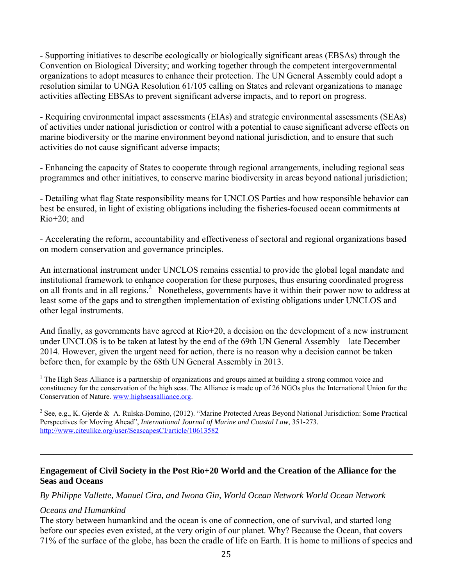- Supporting initiatives to describe ecologically or biologically significant areas (EBSAs) through the Convention on Biological Diversity; and working together through the competent intergovernmental organizations to adopt measures to enhance their protection. The UN General Assembly could adopt a resolution similar to UNGA Resolution 61/105 calling on States and relevant organizations to manage activities affecting EBSAs to prevent significant adverse impacts, and to report on progress.

- Requiring environmental impact assessments (EIAs) and strategic environmental assessments (SEAs) of activities under national jurisdiction or control with a potential to cause significant adverse effects on marine biodiversity or the marine environment beyond national jurisdiction, and to ensure that such activities do not cause significant adverse impacts;

- Enhancing the capacity of States to cooperate through regional arrangements, including regional seas programmes and other initiatives, to conserve marine biodiversity in areas beyond national jurisdiction;

- Detailing what flag State responsibility means for UNCLOS Parties and how responsible behavior can best be ensured, in light of existing obligations including the fisheries-focused ocean commitments at  $Rio+20$ ; and

- Accelerating the reform, accountability and effectiveness of sectoral and regional organizations based on modern conservation and governance principles.

An international instrument under UNCLOS remains essential to provide the global legal mandate and institutional framework to enhance cooperation for these purposes, thus ensuring coordinated progress on all fronts and in all regions.<sup>2</sup> Nonetheless, governments have it within their power now to address at least some of the gaps and to strengthen implementation of existing obligations under UNCLOS and other legal instruments.

And finally, as governments have agreed at Rio+20, a decision on the development of a new instrument under UNCLOS is to be taken at latest by the end of the 69th UN General Assembly—late December 2014. However, given the urgent need for action, there is no reason why a decision cannot be taken before then, for example by the 68th UN General Assembly in 2013.

<sup>1</sup> The High Seas Alliance is a partnership of organizations and groups aimed at building a strong common voice and constituency for the conservation of the high seas. The Alliance is made up of 26 NGOs plus the International Union for the Conservation of Nature. www.highseasalliance.org.

<sup>2</sup> See, e.g., K. Gjerde & A. Rulska-Domino, (2012). "Marine Protected Areas Beyond National Jurisdiction: Some Practical Perspectives for Moving Ahead", *International Journal of Marine and Coastal Law*, 351-273. http://www.citeulike.org/user/SeascapesCI/article/10613582

 $\mathcal{L}_\mathcal{L} = \{ \mathcal{L}_\mathcal{L} = \{ \mathcal{L}_\mathcal{L} = \{ \mathcal{L}_\mathcal{L} = \{ \mathcal{L}_\mathcal{L} = \{ \mathcal{L}_\mathcal{L} = \{ \mathcal{L}_\mathcal{L} = \{ \mathcal{L}_\mathcal{L} = \{ \mathcal{L}_\mathcal{L} = \{ \mathcal{L}_\mathcal{L} = \{ \mathcal{L}_\mathcal{L} = \{ \mathcal{L}_\mathcal{L} = \{ \mathcal{L}_\mathcal{L} = \{ \mathcal{L}_\mathcal{L} = \{ \mathcal{L}_\mathcal{$ 

#### **Engagement of Civil Society in the Post Rio+20 World and the Creation of the Alliance for the Seas and Oceans**

*By Philippe Vallette, Manuel Cira, and Iwona Gin, World Ocean Network World Ocean Network* 

#### *Oceans and Humankind*

The story between humankind and the ocean is one of connection, one of survival, and started long before our species even existed, at the very origin of our planet. Why? Because the Ocean, that covers 71% of the surface of the globe, has been the cradle of life on Earth. It is home to millions of species and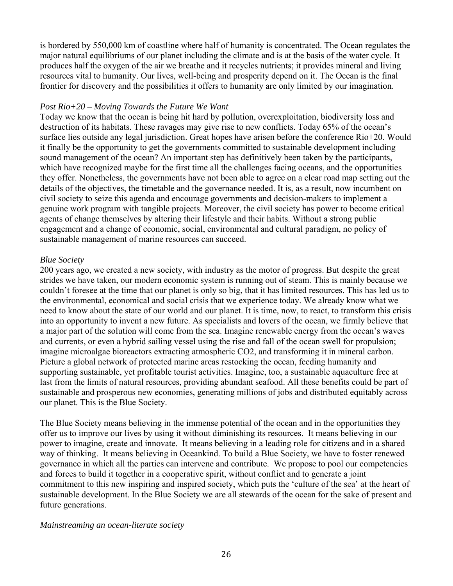is bordered by 550,000 km of coastline where half of humanity is concentrated. The Ocean regulates the major natural equilibriums of our planet including the climate and is at the basis of the water cycle. It produces half the oxygen of the air we breathe and it recycles nutrients; it provides mineral and living resources vital to humanity. Our lives, well-being and prosperity depend on it. The Ocean is the final frontier for discovery and the possibilities it offers to humanity are only limited by our imagination.

#### *Post Rio+20 – Moving Towards the Future We Want*

Today we know that the ocean is being hit hard by pollution, overexploitation, biodiversity loss and destruction of its habitats. These ravages may give rise to new conflicts. Today 65% of the ocean's surface lies outside any legal jurisdiction. Great hopes have arisen before the conference Rio+20. Would it finally be the opportunity to get the governments committed to sustainable development including sound management of the ocean? An important step has definitively been taken by the participants, which have recognized maybe for the first time all the challenges facing oceans, and the opportunities they offer. Nonetheless, the governments have not been able to agree on a clear road map setting out the details of the objectives, the timetable and the governance needed. It is, as a result, now incumbent on civil society to seize this agenda and encourage governments and decision-makers to implement a genuine work program with tangible projects. Moreover, the civil society has power to become critical agents of change themselves by altering their lifestyle and their habits. Without a strong public engagement and a change of economic, social, environmental and cultural paradigm, no policy of sustainable management of marine resources can succeed.

#### *Blue Society*

200 years ago, we created a new society, with industry as the motor of progress. But despite the great strides we have taken, our modern economic system is running out of steam. This is mainly because we couldn't foresee at the time that our planet is only so big, that it has limited resources. This has led us to the environmental, economical and social crisis that we experience today. We already know what we need to know about the state of our world and our planet. It is time, now, to react, to transform this crisis into an opportunity to invent a new future. As specialists and lovers of the ocean, we firmly believe that a major part of the solution will come from the sea. Imagine renewable energy from the ocean's waves and currents, or even a hybrid sailing vessel using the rise and fall of the ocean swell for propulsion; imagine microalgae bioreactors extracting atmospheric CO2, and transforming it in mineral carbon. Picture a global network of protected marine areas restocking the ocean, feeding humanity and supporting sustainable, yet profitable tourist activities. Imagine, too, a sustainable aquaculture free at last from the limits of natural resources, providing abundant seafood. All these benefits could be part of sustainable and prosperous new economies, generating millions of jobs and distributed equitably across our planet. This is the Blue Society.

The Blue Society means believing in the immense potential of the ocean and in the opportunities they offer us to improve our lives by using it without diminishing its resources. It means believing in our power to imagine, create and innovate. It means believing in a leading role for citizens and in a shared way of thinking. It means believing in Oceankind. To build a Blue Society, we have to foster renewed governance in which all the parties can intervene and contribute. We propose to pool our competencies and forces to build it together in a cooperative spirit, without conflict and to generate a joint commitment to this new inspiring and inspired society, which puts the 'culture of the sea' at the heart of sustainable development. In the Blue Society we are all stewards of the ocean for the sake of present and future generations.

#### *Mainstreaming an ocean-literate society*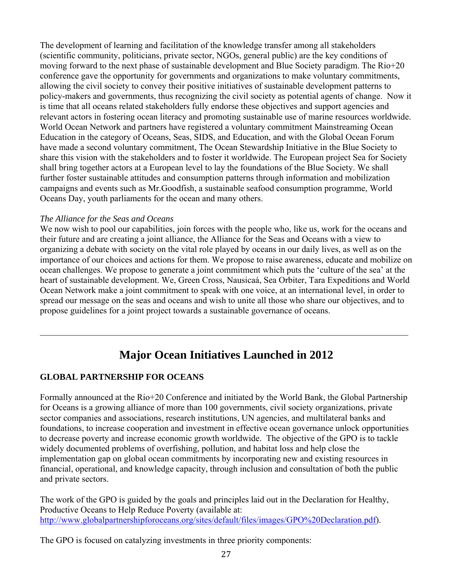The development of learning and facilitation of the knowledge transfer among all stakeholders (scientific community, politicians, private sector, NGOs, general public) are the key conditions of moving forward to the next phase of sustainable development and Blue Society paradigm. The Rio+20 conference gave the opportunity for governments and organizations to make voluntary commitments, allowing the civil society to convey their positive initiatives of sustainable development patterns to policy-makers and governments, thus recognizing the civil society as potential agents of change. Now it is time that all oceans related stakeholders fully endorse these objectives and support agencies and relevant actors in fostering ocean literacy and promoting sustainable use of marine resources worldwide. World Ocean Network and partners have registered a voluntary commitment Mainstreaming Ocean Education in the category of Oceans, Seas, SIDS, and Education, and with the Global Ocean Forum have made a second voluntary commitment, The Ocean Stewardship Initiative in the Blue Society to share this vision with the stakeholders and to foster it worldwide. The European project Sea for Society shall bring together actors at a European level to lay the foundations of the Blue Society. We shall further foster sustainable attitudes and consumption patterns through information and mobilization campaigns and events such as Mr.Goodfish, a sustainable seafood consumption programme, World Oceans Day, youth parliaments for the ocean and many others.

#### *The Alliance for the Seas and Oceans*

We now wish to pool our capabilities, join forces with the people who, like us, work for the oceans and their future and are creating a joint alliance, the Alliance for the Seas and Oceans with a view to organizing a debate with society on the vital role played by oceans in our daily lives, as well as on the importance of our choices and actions for them. We propose to raise awareness, educate and mobilize on ocean challenges. We propose to generate a joint commitment which puts the 'culture of the sea' at the heart of sustainable development. We, Green Cross, Nausicaá, Sea Orbiter, Tara Expeditions and World Ocean Network make a joint commitment to speak with one voice, at an international level, in order to spread our message on the seas and oceans and wish to unite all those who share our objectives, and to propose guidelines for a joint project towards a sustainable governance of oceans.

# **Major Ocean Initiatives Launched in 2012**

 $\mathcal{L}_\mathcal{L} = \{ \mathcal{L}_\mathcal{L} = \{ \mathcal{L}_\mathcal{L} = \{ \mathcal{L}_\mathcal{L} = \{ \mathcal{L}_\mathcal{L} = \{ \mathcal{L}_\mathcal{L} = \{ \mathcal{L}_\mathcal{L} = \{ \mathcal{L}_\mathcal{L} = \{ \mathcal{L}_\mathcal{L} = \{ \mathcal{L}_\mathcal{L} = \{ \mathcal{L}_\mathcal{L} = \{ \mathcal{L}_\mathcal{L} = \{ \mathcal{L}_\mathcal{L} = \{ \mathcal{L}_\mathcal{L} = \{ \mathcal{L}_\mathcal{$ 

## **GLOBAL PARTNERSHIP FOR OCEANS**

Formally announced at the Rio+20 Conference and initiated by the World Bank, the Global Partnership for Oceans is a growing alliance of more than 100 governments, civil society organizations, private sector companies and associations, research institutions, UN agencies, and multilateral banks and foundations, to increase cooperation and investment in effective ocean governance unlock opportunities to decrease poverty and increase economic growth worldwide. The objective of the GPO is to tackle widely documented problems of overfishing, pollution, and habitat loss and help close the implementation gap on global ocean commitments by incorporating new and existing resources in financial, operational, and knowledge capacity, through inclusion and consultation of both the public and private sectors.

The work of the GPO is guided by the goals and principles laid out in the Declaration for Healthy, Productive Oceans to Help Reduce Poverty (available at: http://www.globalpartnershipforoceans.org/sites/default/files/images/GPO%20Declaration.pdf).

The GPO is focused on catalyzing investments in three priority components: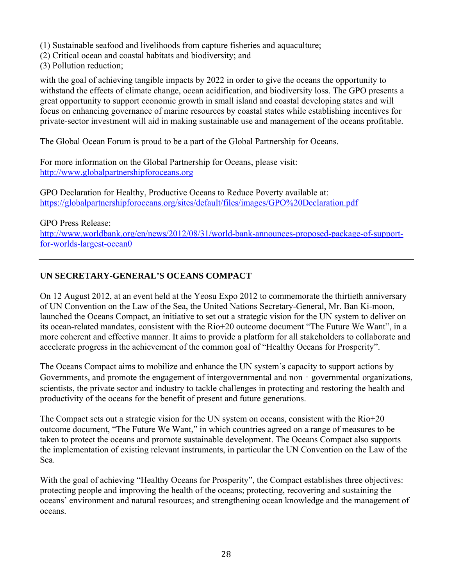- (1) Sustainable seafood and livelihoods from capture fisheries and aquaculture;
- (2) Critical ocean and coastal habitats and biodiversity; and
- (3) Pollution reduction;

with the goal of achieving tangible impacts by 2022 in order to give the oceans the opportunity to withstand the effects of climate change, ocean acidification, and biodiversity loss. The GPO presents a great opportunity to support economic growth in small island and coastal developing states and will focus on enhancing governance of marine resources by coastal states while establishing incentives for private-sector investment will aid in making sustainable use and management of the oceans profitable.

The Global Ocean Forum is proud to be a part of the Global Partnership for Oceans.

For more information on the Global Partnership for Oceans, please visit: http://www.globalpartnershipforoceans.org

GPO Declaration for Healthy, Productive Oceans to Reduce Poverty available at: https://globalpartnershipforoceans.org/sites/default/files/images/GPO%20Declaration.pdf

GPO Press Release: http://www.worldbank.org/en/news/2012/08/31/world-bank-announces-proposed-package-of-supportfor-worlds-largest-ocean0

## **UN SECRETARY-GENERAL'S OCEANS COMPACT**

On 12 August 2012, at an event held at the Yeosu Expo 2012 to commemorate the thirtieth anniversary of UN Convention on the Law of the Sea, the United Nations Secretary-General, Mr. Ban Ki-moon, launched the Oceans Compact, an initiative to set out a strategic vision for the UN system to deliver on its ocean-related mandates, consistent with the Rio+20 outcome document "The Future We Want", in a more coherent and effective manner. It aims to provide a platform for all stakeholders to collaborate and accelerate progress in the achievement of the common goal of "Healthy Oceans for Prosperity".

The Oceans Compact aims to mobilize and enhance the UN system´s capacity to support actions by Governments, and promote the engagement of intergovernmental and non - governmental organizations, scientists, the private sector and industry to tackle challenges in protecting and restoring the health and productivity of the oceans for the benefit of present and future generations.

The Compact sets out a strategic vision for the UN system on oceans, consistent with the Rio+20 outcome document, "The Future We Want," in which countries agreed on a range of measures to be taken to protect the oceans and promote sustainable development. The Oceans Compact also supports the implementation of existing relevant instruments, in particular the UN Convention on the Law of the Sea.

With the goal of achieving "Healthy Oceans for Prosperity", the Compact establishes three objectives: protecting people and improving the health of the oceans; protecting, recovering and sustaining the oceans' environment and natural resources; and strengthening ocean knowledge and the management of oceans.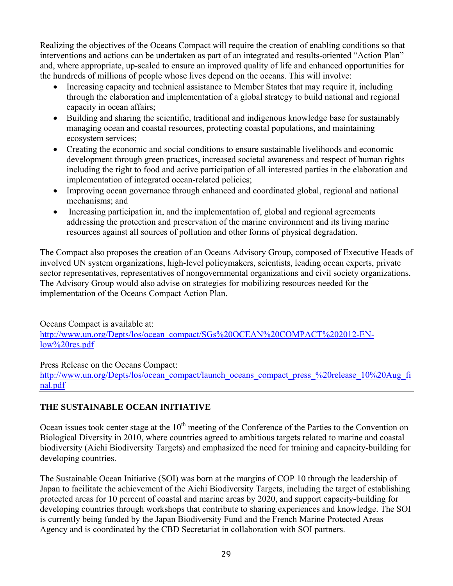Realizing the objectives of the Oceans Compact will require the creation of enabling conditions so that interventions and actions can be undertaken as part of an integrated and results-oriented "Action Plan" and, where appropriate, up-scaled to ensure an improved quality of life and enhanced opportunities for the hundreds of millions of people whose lives depend on the oceans. This will involve:

- Increasing capacity and technical assistance to Member States that may require it, including through the elaboration and implementation of a global strategy to build national and regional capacity in ocean affairs;
- Building and sharing the scientific, traditional and indigenous knowledge base for sustainably managing ocean and coastal resources, protecting coastal populations, and maintaining ecosystem services;
- Creating the economic and social conditions to ensure sustainable livelihoods and economic development through green practices, increased societal awareness and respect of human rights including the right to food and active participation of all interested parties in the elaboration and implementation of integrated ocean-related policies;
- Improving ocean governance through enhanced and coordinated global, regional and national mechanisms; and
- Increasing participation in, and the implementation of, global and regional agreements addressing the protection and preservation of the marine environment and its living marine resources against all sources of pollution and other forms of physical degradation.

The Compact also proposes the creation of an Oceans Advisory Group, composed of Executive Heads of involved UN system organizations, high-level policymakers, scientists, leading ocean experts, private sector representatives, representatives of nongovernmental organizations and civil society organizations. The Advisory Group would also advise on strategies for mobilizing resources needed for the implementation of the Oceans Compact Action Plan.

Oceans Compact is available at:

http://www.un.org/Depts/los/ocean\_compact/SGs%20OCEAN%20COMPACT%202012-ENlow%20res.pdf

Press Release on the Oceans Compact:

http://www.un.org/Depts/los/ocean\_compact/launch\_oceans\_compact\_press\_%20release\_10%20Aug\_fi nal.pdf

## **THE SUSTAINABLE OCEAN INITIATIVE**

Ocean issues took center stage at the 10<sup>th</sup> meeting of the Conference of the Parties to the Convention on Biological Diversity in 2010, where countries agreed to ambitious targets related to marine and coastal biodiversity (Aichi Biodiversity Targets) and emphasized the need for training and capacity-building for developing countries.

The Sustainable Ocean Initiative (SOI) was born at the margins of COP 10 through the leadership of Japan to facilitate the achievement of the Aichi Biodiversity Targets, including the target of establishing protected areas for 10 percent of coastal and marine areas by 2020, and support capacity-building for developing countries through workshops that contribute to sharing experiences and knowledge. The SOI is currently being funded by the Japan Biodiversity Fund and the French Marine Protected Areas Agency and is coordinated by the CBD Secretariat in collaboration with SOI partners.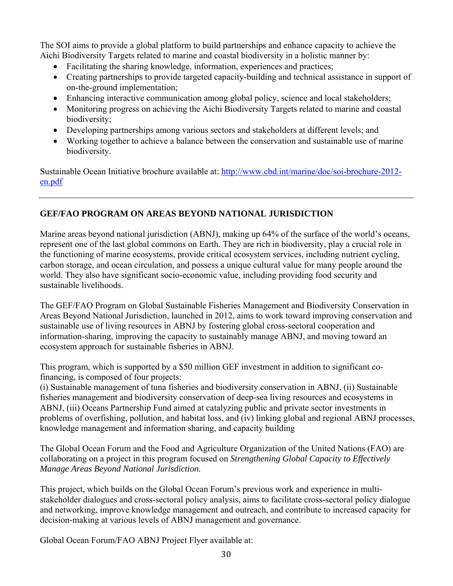The SOI aims to provide a global platform to build partnerships and enhance capacity to achieve the Aichi Biodiversity Targets related to marine and coastal biodiversity in a holistic manner by:

- Facilitating the sharing knowledge, information, experiences and practices;
- Creating partnerships to provide targeted capacity-building and technical assistance in support of on-the-ground implementation;
- Enhancing interactive communication among global policy, science and local stakeholders;
- Monitoring progress on achieving the Aichi Biodiversity Targets related to marine and coastal biodiversity;
- Developing partnerships among various sectors and stakeholders at different levels; and
- Working together to achieve a balance between the conservation and sustainable use of marine biodiversity.

Sustainable Ocean Initiative brochure available at: http://www.cbd.int/marine/doc/soi-brochure-2012 en.pdf

## **GEF/FAO PROGRAM ON AREAS BEYOND NATIONAL JURISDICTION**

Marine areas beyond national jurisdiction (ABNJ), making up 64% of the surface of the world's oceans, represent one of the last global commons on Earth. They are rich in biodiversity, play a crucial role in the functioning of marine ecosystems, provide critical ecosystem services, including nutrient cycling, carbon storage, and ocean circulation, and possess a unique cultural value for many people around the world. They also have significant socio-economic value, including providing food security and sustainable livelihoods.

The GEF/FAO Program on Global Sustainable Fisheries Management and Biodiversity Conservation in Areas Beyond National Jurisdiction, launched in 2012, aims to work toward improving conservation and sustainable use of living resources in ABNJ by fostering global cross-sectoral cooperation and information-sharing, improving the capacity to sustainably manage ABNJ, and moving toward an ecosystem approach for sustainable fisheries in ABNJ.

This program, which is supported by a \$50 million GEF investment in addition to significant cofinancing, is composed of four projects:

(i) Sustainable management of tuna fisheries and biodiversity conservation in ABNJ, (ii) Sustainable fisheries management and biodiversity conservation of deep-sea living resources and ecosystems in ABNJ, (iii) Oceans Partnership Fund aimed at catalyzing public and private sector investments in problems of overfishing, pollution, and habitat loss, and (iv) linking global and regional ABNJ processes, knowledge management and information sharing, and capacity building

The Global Ocean Forum and the Food and Agriculture Organization of the United Nations (FAO) are collaborating on a project in this program focused on *Strengthening Global Capacity to Effectively Manage Areas Beyond National Jurisdiction.*

This project, which builds on the Global Ocean Forum's previous work and experience in multistakeholder dialogues and cross-sectoral policy analysis, aims to facilitate cross-sectoral policy dialogue and networking, improve knowledge management and outreach, and contribute to increased capacity for decision-making at various levels of ABNJ management and governance.

Global Ocean Forum/FAO ABNJ Project Flyer available at: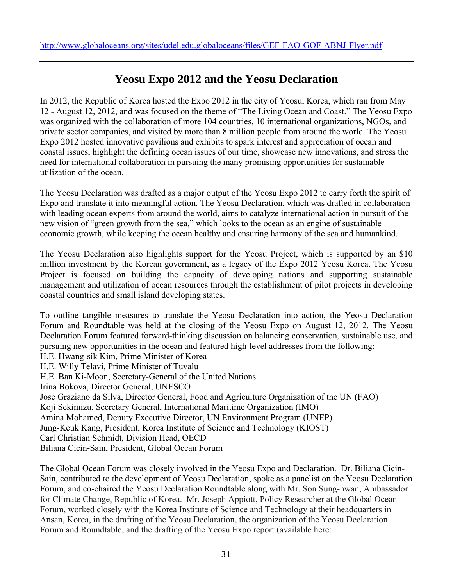## **Yeosu Expo 2012 and the Yeosu Declaration**

In 2012, the Republic of Korea hosted the Expo 2012 in the city of Yeosu, Korea, which ran from May 12 - August 12, 2012, and was focused on the theme of "The Living Ocean and Coast." The Yeosu Expo was organized with the collaboration of more 104 countries, 10 international organizations, NGOs, and private sector companies, and visited by more than 8 million people from around the world. The Yeosu Expo 2012 hosted innovative pavilions and exhibits to spark interest and appreciation of ocean and coastal issues, highlight the defining ocean issues of our time, showcase new innovations, and stress the need for international collaboration in pursuing the many promising opportunities for sustainable utilization of the ocean.

The Yeosu Declaration was drafted as a major output of the Yeosu Expo 2012 to carry forth the spirit of Expo and translate it into meaningful action. The Yeosu Declaration, which was drafted in collaboration with leading ocean experts from around the world, aims to catalyze international action in pursuit of the new vision of "green growth from the sea," which looks to the ocean as an engine of sustainable economic growth, while keeping the ocean healthy and ensuring harmony of the sea and humankind.

The Yeosu Declaration also highlights support for the Yeosu Project, which is supported by an \$10 million investment by the Korean government, as a legacy of the Expo 2012 Yeosu Korea. The Yeosu Project is focused on building the capacity of developing nations and supporting sustainable management and utilization of ocean resources through the establishment of pilot projects in developing coastal countries and small island developing states.

To outline tangible measures to translate the Yeosu Declaration into action, the Yeosu Declaration Forum and Roundtable was held at the closing of the Yeosu Expo on August 12, 2012. The Yeosu Declaration Forum featured forward-thinking discussion on balancing conservation, sustainable use, and pursuing new opportunities in the ocean and featured high-level addresses from the following: H.E. Hwang-sik Kim, Prime Minister of Korea H.E. Willy Telavi, Prime Minister of Tuvalu H.E. Ban Ki-Moon, Secretary-General of the United Nations Irina Bokova, Director General, UNESCO Jose Graziano da Silva, Director General, Food and Agriculture Organization of the UN (FAO) Koji Sekimizu, Secretary General, International Maritime Organization (IMO) Amina Mohamed, Deputy Executive Director, UN Environment Program (UNEP) Jung-Keuk Kang, President, Korea Institute of Science and Technology (KIOST) Carl Christian Schmidt, Division Head, OECD Biliana Cicin-Sain, President, Global Ocean Forum

The Global Ocean Forum was closely involved in the Yeosu Expo and Declaration. Dr. Biliana Cicin-Sain, contributed to the development of Yeosu Declaration, spoke as a panelist on the Yeosu Declaration Forum, and co-chaired the Yeosu Declaration Roundtable along with Mr. Son Sung-hwan, Ambassador for Climate Change, Republic of Korea. Mr. Joseph Appiott, Policy Researcher at the Global Ocean Forum, worked closely with the Korea Institute of Science and Technology at their headquarters in Ansan, Korea, in the drafting of the Yeosu Declaration, the organization of the Yeosu Declaration Forum and Roundtable, and the drafting of the Yeosu Expo report (available here: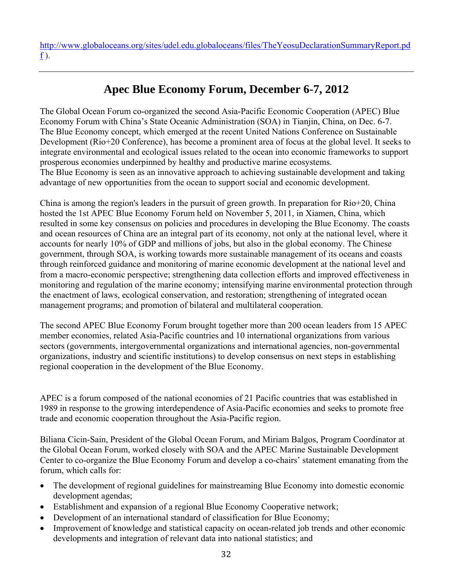http://www.globaloceans.org/sites/udel.edu.globaloceans/files/TheYeosuDeclarationSummaryReport.pd f ).

# **Apec Blue Economy Forum, December 6-7, 2012**

The Global Ocean Forum co-organized the second Asia-Pacific Economic Cooperation (APEC) Blue Economy Forum with China's State Oceanic Administration (SOA) in Tianjin, China, on Dec. 6-7. The Blue Economy concept, which emerged at the recent United Nations Conference on Sustainable Development (Rio+20 Conference), has become a prominent area of focus at the global level. It seeks to integrate environmental and ecological issues related to the ocean into economic frameworks to support prosperous economies underpinned by healthy and productive marine ecosystems. The Blue Economy is seen as an innovative approach to achieving sustainable development and taking advantage of new opportunities from the ocean to support social and economic development.

China is among the region's leaders in the pursuit of green growth. In preparation for Rio+20, China hosted the 1st APEC Blue Economy Forum held on November 5, 2011, in Xiamen, China, which resulted in some key consensus on policies and procedures in developing the Blue Economy. The coasts and ocean resources of China are an integral part of its economy, not only at the national level, where it accounts for nearly 10% of GDP and millions of jobs, but also in the global economy. The Chinese government, through SOA, is working towards more sustainable management of its oceans and coasts through reinforced guidance and monitoring of marine economic development at the national level and from a macro-economic perspective; strengthening data collection efforts and improved effectiveness in monitoring and regulation of the marine economy; intensifying marine environmental protection through the enactment of laws, ecological conservation, and restoration; strengthening of integrated ocean management programs; and promotion of bilateral and multilateral cooperation.

The second APEC Blue Economy Forum brought together more than 200 ocean leaders from 15 APEC member economies, related Asia-Pacific countries and 10 international organizations from various sectors (governments, intergovernmental organizations and international agencies, non-governmental organizations, industry and scientific institutions) to develop consensus on next steps in establishing regional cooperation in the development of the Blue Economy.

APEC is a forum composed of the national economies of 21 Pacific countries that was established in 1989 in response to the growing interdependence of Asia-Pacific economies and seeks to promote free trade and economic cooperation throughout the Asia-Pacific region.

Biliana Cicin-Sain, President of the Global Ocean Forum, and Miriam Balgos, Program Coordinator at the Global Ocean Forum, worked closely with SOA and the APEC Marine Sustainable Development Center to co-organize the Blue Economy Forum and develop a co-chairs' statement emanating from the forum, which calls for:

- The development of regional guidelines for mainstreaming Blue Economy into domestic economic development agendas;
- Establishment and expansion of a regional Blue Economy Cooperative network;
- Development of an international standard of classification for Blue Economy;
- Improvement of knowledge and statistical capacity on ocean-related job trends and other economic developments and integration of relevant data into national statistics; and